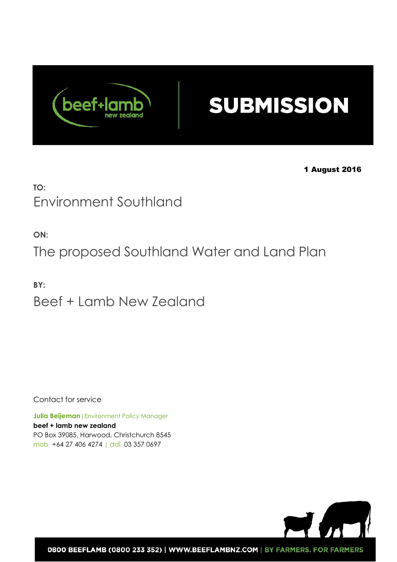

# **SUBMISSION**

1 August 2016

## **TO:**  Environment Southland

**ON:** 

The proposed Southland Water and Land Plan

**BY:** Beef + Lamb New Zealand

Contact for service

**Julia Beijeman** | Environment Policy Manager **beef + lamb new zealand** PO Box 39085, Harwood, Christchurch 8545 mob +64 27 406 4274 | ddi 03 357 0697



0800 BEEFLAMB (0800 233 352) | WWW.BEEFLAMBNZ.COM | BY FARMERS. FOR FARMERS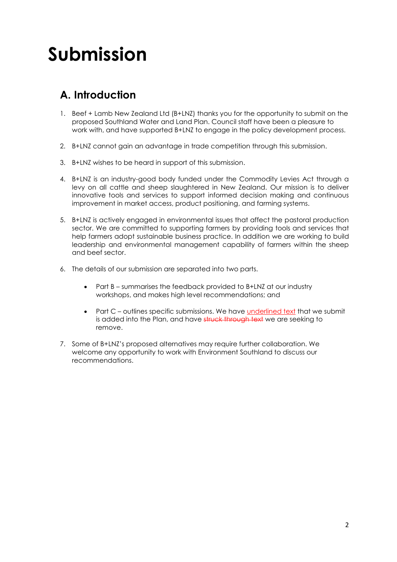# **Submission**

## **A. Introduction**

- 1. Beef + Lamb New Zealand Ltd (B+LNZ) thanks you for the opportunity to submit on the proposed Southland Water and Land Plan. Council staff have been a pleasure to work with, and have supported B+LNZ to engage in the policy development process.
- 2. B+LNZ cannot gain an advantage in trade competition through this submission.
- 3. B+LNZ wishes to be heard in support of this submission.
- 4. B+LNZ is an industry-good body funded under the Commodity Levies Act through a levy on all cattle and sheep slaughtered in New Zealand. Our mission is to deliver innovative tools and services to support informed decision making and continuous improvement in market access, product positioning, and farming systems.
- 5. B+LNZ is actively engaged in environmental issues that affect the pastoral production sector. We are committed to supporting farmers by providing tools and services that help farmers adopt sustainable business practice. In addition we are working to build leadership and environmental management capability of farmers within the sheep and beef sector.
- 6. The details of our submission are separated into two parts.
	- Part B summarises the feedback provided to B+LNZ at our industry workshops, and makes high level recommendations; and
	- Part C outlines specific submissions. We have underlined text that we submit is added into the Plan, and have struck through text we are seeking to remove.
- 7. Some of B+LNZ's proposed alternatives may require further collaboration. We welcome any opportunity to work with Environment Southland to discuss our recommendations.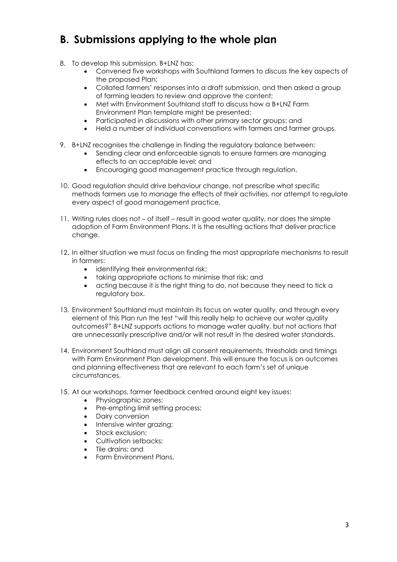## **B. Submissions applying to the whole plan**

- 8. To develop this submission, B+LNZ has:
	- Convened five workshops with Southland farmers to discuss the key aspects of the proposed Plan;
	- Collated farmers' responses into a draft submission, and then asked a group of farming leaders to review and approve the content;
	- Met with Environment Southland staff to discuss how a B+LNZ Farm Environment Plan template might be presented;
	- Participated in discussions with other primary sector groups; and
	- Held a number of individual conversations with farmers and farmer groups.
- 9. B+LNZ recognises the challenge in finding the regulatory balance between:
	- Sending clear and enforceable signals to ensure farmers are managing effects to an acceptable level; and
	- Encouraging good management practice through regulation.
- 10. Good regulation should drive behaviour change, not prescribe what specific methods farmers use to manage the effects of their activities, nor attempt to regulate every aspect of good management practice.
- 11. Writing rules does not of itself result in good water quality, nor does the simple adoption of Farm Environment Plans. It is the resulting actions that deliver practice change.
- 12. In either situation we must focus on finding the most appropriate mechanisms to result in farmers:
	- identifying their environmental risk;
	- taking appropriate actions to minimise that risk; and
	- acting because it is the right thing to do, not because they need to tick a regulatory box.
- 13. Environment Southland must maintain its focus on water quality, and through every element of this Plan run the test "will this really help to achieve our water quality outcomes?" B+LNZ supports actions to manage water quality, but not actions that are unnecessarily prescriptive and/or will not result in the desired water standards.
- 14. Environment Southland must align all consent requirements, thresholds and timings with Farm Environment Plan development. This will ensure the focus is on outcomes and planning effectiveness that are relevant to each farm's set of unique circumstances.
- 15. At our workshops, farmer feedback centred around eight key issues:
	- Physiographic zones;
	- Pre-empting limit setting process:
	- Dairy conversion
	- Intensive winter grazing;
	- Stock exclusion;
	- Cultivation setbacks;
	- Tile drains; and
	- Farm Environment Plans.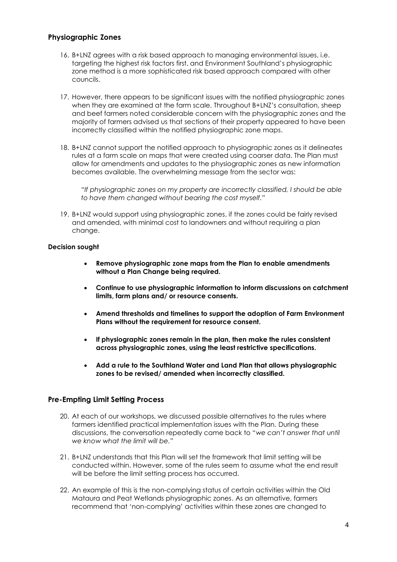#### **Physiographic Zones**

- 16. B+LNZ agrees with a risk based approach to managing environmental issues, i.e. targeting the highest risk factors first, and Environment Southland's physiographic zone method is a more sophisticated risk based approach compared with other councils.
- 17. However, there appears to be significant issues with the notified physiographic zones when they are examined at the farm scale. Throughout B+LNZ's consultation, sheep and beef farmers noted considerable concern with the physiographic zones and the majority of farmers advised us that sections of their property appeared to have been incorrectly classified within the notified physiographic zone maps.
- 18. B+LNZ cannot support the notified approach to physiographic zones as it delineates rules at a farm scale on maps that were created using coarser data. The Plan must allow for amendments and updates to the physiographic zones as new information becomes available. The overwhelming message from the sector was:

*"If physiographic zones on my property are incorrectly classified, I should be able to have them changed without bearing the cost myself."* 

19. B+LNZ would support using physiographic zones, if the zones could be fairly revised and amended, with minimal cost to landowners and without requiring a plan change.

#### **Decision sought**

- **Remove physiographic zone maps from the Plan to enable amendments without a Plan Change being required.**
- **Continue to use physiographic information to inform discussions on catchment limits, farm plans and/ or resource consents.**
- **Amend thresholds and timelines to support the adoption of Farm Environment Plans without the requirement for resource consent.**
- **If physiographic zones remain in the plan, then make the rules consistent across physiographic zones, using the least restrictive specifications.**
- **Add a rule to the Southland Water and Land Plan that allows physiographic zones to be revised/ amended when incorrectly classified.**

#### **Pre-Empting Limit Setting Process**

- 20. At each of our workshops, we discussed possible alternatives to the rules where farmers identified practical implementation issues with the Plan. During these discussions, the conversation repeatedly came back to "*we can't answer that until we know what the limit will be.*"
- 21. B+LNZ understands that this Plan will set the framework that limit setting will be conducted within. However, some of the rules seem to assume what the end result will be before the limit setting process has occurred.
- 22. An example of this is the non-complying status of certain activities within the Old Mataura and Peat Wetlands physiographic zones. As an alternative, farmers recommend that 'non-complying' activities within these zones are changed to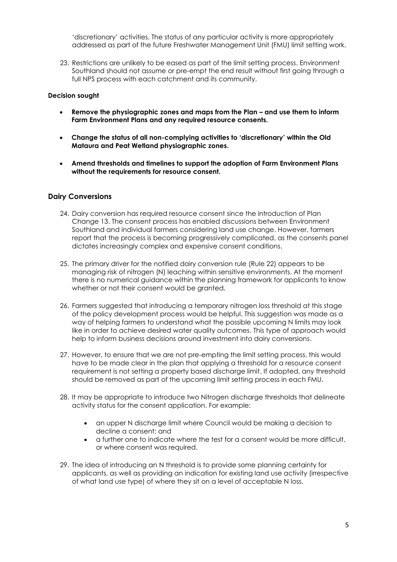'discretionary' activities. The status of any particular activity is more appropriately addressed as part of the future Freshwater Management Unit (FMU) limit setting work.

23. Restrictions are unlikely to be eased as part of the limit setting process. Environment Southland should not assume or pre-empt the end result without first going through a full NPS process with each catchment and its community.

#### **Decision sought**

- **Remove the physiographic zones and maps from the Plan – and use them to inform Farm Environment Plans and any required resource consents.**
- **Change the status of all non-complying activities to 'discretionary' within the Old Mataura and Peat Wetland physiographic zones.**
- **Amend thresholds and timelines to support the adoption of Farm Environment Plans without the requirements for resource consent.**

#### **Dairy Conversions**

- 24. Dairy conversion has required resource consent since the introduction of Plan Change 13. The consent process has enabled discussions between Environment Southland and individual farmers considering land use change. However, farmers report that the process is becoming progressively complicated, as the consents panel dictates increasingly complex and expensive consent conditions.
- 25. The primary driver for the notified dairy conversion rule (Rule 22) appears to be managing risk of nitrogen (N) leaching within sensitive environments. At the moment there is no numerical guidance within the planning framework for applicants to know whether or not their consent would be granted.
- 26. Farmers suggested that introducing a temporary nitrogen loss threshold at this stage of the policy development process would be helpful. This suggestion was made as a way of helping farmers to understand what the possible upcoming N limits may look like in order to achieve desired water quality outcomes. This type of approach would help to inform business decisions around investment into dairy conversions.
- 27. However, to ensure that we are not pre-empting the limit setting process, this would have to be made clear in the plan that applying a threshold for a resource consent requirement is not setting a property based discharge limit. If adopted, any threshold should be removed as part of the upcoming limit setting process in each FMU.
- 28. It may be appropriate to introduce two Nitrogen discharge thresholds that delineate activity status for the consent application. For example:
	- an upper N discharge limit where Council would be making a decision to decline a consent; and
	- a further one to indicate where the test for a consent would be more difficult, or where consent was required.
- 29. The idea of introducing an N threshold is to provide some planning certainty for applicants, as well as providing an indication for existing land use activity (irrespective of what land use type) of where they sit on a level of acceptable N loss.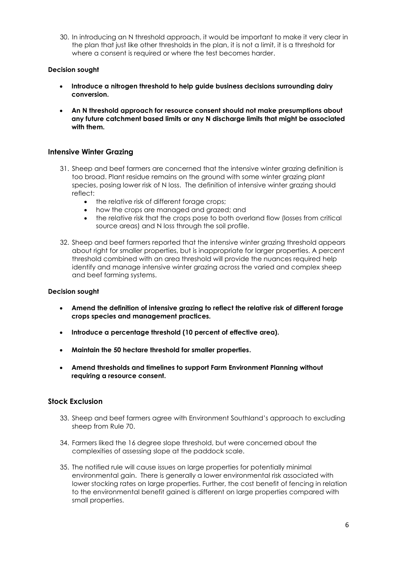30. In introducing an N threshold approach, it would be important to make it very clear in the plan that just like other thresholds in the plan, it is not a limit, it is a threshold for where a consent is required or where the test becomes harder.

#### **Decision sought**

- **Introduce a nitrogen threshold to help guide business decisions surrounding dairy conversion.**
- **An N threshold approach for resource consent should not make presumptions about any future catchment based limits or any N discharge limits that might be associated with them.**

#### **Intensive Winter Grazing**

- 31. Sheep and beef farmers are concerned that the intensive winter grazing definition is too broad. Plant residue remains on the ground with some winter grazing plant species, posing lower risk of N loss. The definition of intensive winter grazing should reflect:
	- the relative risk of different forage crops;
	- how the crops are managed and grazed; and
	- the relative risk that the crops pose to both overland flow (losses from critical source areas) and N loss through the soil profile.
- 32. Sheep and beef farmers reported that the intensive winter grazing threshold appears about right for smaller properties, but is inappropriate for larger properties. A percent threshold combined with an area threshold will provide the nuances required help identify and manage intensive winter grazing across the varied and complex sheep and beef farming systems.

#### **Decision sought**

- **Amend the definition of intensive grazing to reflect the relative risk of different forage crops species and management practices.**
- **Introduce a percentage threshold (10 percent of effective area).**
- **Maintain the 50 hectare threshold for smaller properties.**
- **Amend thresholds and timelines to support Farm Environment Planning without requiring a resource consent.**

#### **Stock Exclusion**

- 33. Sheep and beef farmers agree with Environment Southland's approach to excluding sheep from Rule 70.
- 34. Farmers liked the 16 degree slope threshold, but were concerned about the complexities of assessing slope at the paddock scale.
- 35. The notified rule will cause issues on large properties for potentially minimal environmental gain. There is generally a lower environmental risk associated with lower stocking rates on large properties. Further, the cost benefit of fencing in relation to the environmental benefit gained is different on large properties compared with small properties.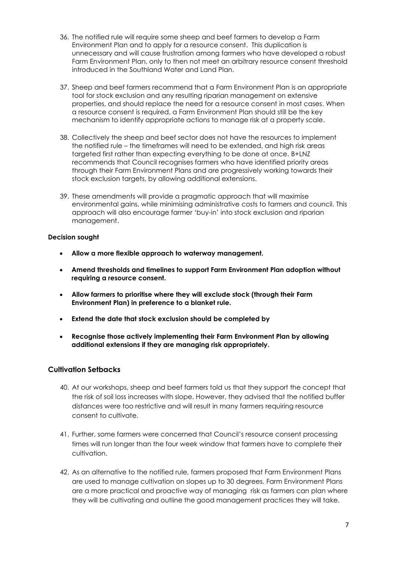- 36. The notified rule will require some sheep and beef farmers to develop a Farm Environment Plan and to apply for a resource consent. This duplication is unnecessary and will cause frustration among farmers who have developed a robust Farm Environment Plan, only to then not meet an arbitrary resource consent threshold introduced in the Southland Water and Land Plan.
- 37. Sheep and beef farmers recommend that a Farm Environment Plan is an appropriate tool for stock exclusion and any resulting riparian management on extensive properties, and should replace the need for a resource consent in most cases. When a resource consent is required, a Farm Environment Plan should still be the key mechanism to identify appropriate actions to manage risk at a property scale.
- 38. Collectively the sheep and beef sector does not have the resources to implement the notified rule – the timeframes will need to be extended, and high risk areas targeted first rather than expecting everything to be done at once. B+LNZ recommends that Council recognises farmers who have identified priority areas through their Farm Environment Plans and are progressively working towards their stock exclusion targets, by allowing additional extensions.
- 39. These amendments will provide a pragmatic approach that will maximise environmental gains, while minimising administrative costs to farmers and council. This approach will also encourage farmer 'buy-in' into stock exclusion and riparian management.

#### **Decision sought**

- **Allow a more flexible approach to waterway management.**
- **Amend thresholds and timelines to support Farm Environment Plan adoption without requiring a resource consent.**
- **Allow farmers to prioritise where they will exclude stock (through their Farm Environment Plan) in preference to a blanket rule.**
- **Extend the date that stock exclusion should be completed by**
- **Recognise those actively implementing their Farm Environment Plan by allowing additional extensions if they are managing risk appropriately.**

#### **Cultivation Setbacks**

- 40. At our workshops, sheep and beef farmers told us that they support the concept that the risk of soil loss increases with slope. However, they advised that the notified buffer distances were too restrictive and will result in many farmers requiring resource consent to cultivate.
- 41. Further, some farmers were concerned that Council's resource consent processing times will run longer than the four week window that farmers have to complete their cultivation.
- 42. As an alternative to the notified rule, farmers proposed that Farm Environment Plans are used to manage cultivation on slopes up to 30 degrees. Farm Environment Plans are a more practical and proactive way of managing risk as farmers can plan where they will be cultivating and outline the good management practices they will take.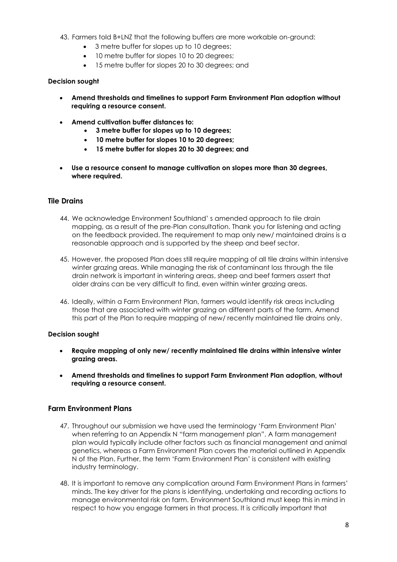- 43. Farmers told B+LNZ that the following buffers are more workable on-ground:
	- 3 metre buffer for slopes up to 10 degrees;
	- 10 metre buffer for slopes 10 to 20 degrees;
	- 15 metre buffer for slopes 20 to 30 degrees; and

#### **Decision sought**

- **Amend thresholds and timelines to support Farm Environment Plan adoption without requiring a resource consent.**
- **Amend cultivation buffer distances to:** 
	- **3 metre buffer for slopes up to 10 degrees;**
	- **10 metre buffer for slopes 10 to 20 degrees;**
	- **15 metre buffer for slopes 20 to 30 degrees; and**
- **Use a resource consent to manage cultivation on slopes more than 30 degrees, where required.**

#### **Tile Drains**

- 44. We acknowledge Environment Southland' s amended approach to tile drain mapping, as a result of the pre-Plan consultation. Thank you for listening and acting on the feedback provided. The requirement to map only new/ maintained drains is a reasonable approach and is supported by the sheep and beef sector.
- 45. However, the proposed Plan does still require mapping of all tile drains within intensive winter grazing areas. While managing the risk of contaminant loss through the tile drain network is important in wintering areas, sheep and beef farmers assert that older drains can be very difficult to find, even within winter grazing areas.
- 46. Ideally, within a Farm Environment Plan, farmers would identify risk areas including those that are associated with winter grazing on different parts of the farm. Amend this part of the Plan to require mapping of new/ recently maintained tile drains only.

#### **Decision sought**

- **Require mapping of only new/ recently maintained tile drains within intensive winter grazing areas.**
- **Amend thresholds and timelines to support Farm Environment Plan adoption, without requiring a resource consent.**

#### **Farm Environment Plans**

- 47. Throughout our submission we have used the terminology 'Farm Environment Plan' when referring to an Appendix N "farm management plan". A farm management plan would typically include other factors such as financial management and animal genetics, whereas a Farm Environment Plan covers the material outlined in Appendix N of the Plan. Further, the term 'Farm Environment Plan' is consistent with existing industry terminology.
- 48. It is important to remove any complication around Farm Environment Plans in farmers' minds. The key driver for the plans is identifying, undertaking and recording actions to manage environmental risk on farm. Environment Southland must keep this in mind in respect to how you engage farmers in that process. It is critically important that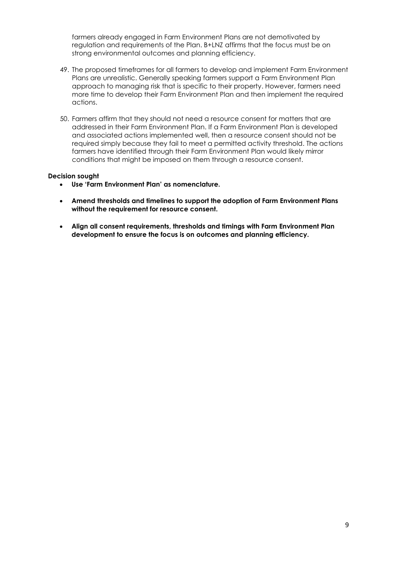farmers already engaged in Farm Environment Plans are not demotivated by regulation and requirements of the Plan. B+LNZ affirms that the focus must be on strong environmental outcomes and planning efficiency.

- 49. The proposed timeframes for all farmers to develop and implement Farm Environment Plans are unrealistic. Generally speaking farmers support a Farm Environment Plan approach to managing risk that is specific to their property. However, farmers need more time to develop their Farm Environment Plan and then implement the required actions.
- 50. Farmers affirm that they should not need a resource consent for matters that are addressed in their Farm Environment Plan. If a Farm Environment Plan is developed and associated actions implemented well, then a resource consent should not be required simply because they fail to meet a permitted activity threshold. The actions farmers have identified through their Farm Environment Plan would likely mirror conditions that might be imposed on them through a resource consent.

#### **Decision sought**

- **Use 'Farm Environment Plan' as nomenclature.**
- **Amend thresholds and timelines to support the adoption of Farm Environment Plans without the requirement for resource consent.**
- **Align all consent requirements, thresholds and timings with Farm Environment Plan development to ensure the focus is on outcomes and planning efficiency.**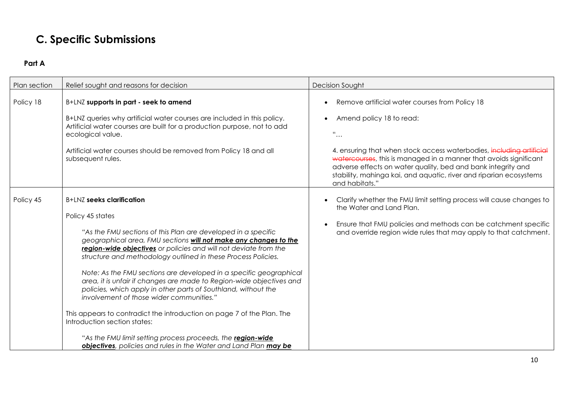## **C. Specific Submissions**

### **Part A**

| Plan section | Relief sought and reasons for decision                                                                                                                                                                                                                                                                                                                                                                                                                                                                                                                                                                                                                                                                                                                                                                                                  | Decision Sought                                                                                                                                                                                                                                                                                                                                                                                                                                 |
|--------------|-----------------------------------------------------------------------------------------------------------------------------------------------------------------------------------------------------------------------------------------------------------------------------------------------------------------------------------------------------------------------------------------------------------------------------------------------------------------------------------------------------------------------------------------------------------------------------------------------------------------------------------------------------------------------------------------------------------------------------------------------------------------------------------------------------------------------------------------|-------------------------------------------------------------------------------------------------------------------------------------------------------------------------------------------------------------------------------------------------------------------------------------------------------------------------------------------------------------------------------------------------------------------------------------------------|
| Policy 18    | B+LNZ supports in part - seek to amend<br>B+LNZ queries why artificial water courses are included in this policy.<br>Artificial water courses are built for a production purpose, not to add<br>ecological value.<br>Artificial water courses should be removed from Policy 18 and all<br>subsequent rules.                                                                                                                                                                                                                                                                                                                                                                                                                                                                                                                             | Remove artificial water courses from Policy 18<br>Amend policy 18 to read:<br>$\bullet$<br>$\begin{array}{c} \alpha \\ \cdots \end{array}$<br>4. ensuring that when stock access waterbodies, including artificial<br>watercourses, this is managed in a manner that avoids significant<br>adverse effects on water quality, bed and bank integrity and<br>stability, mahinga kai, and aquatic, river and riparian ecosystems<br>and habitats." |
| Policy 45    | <b>B+LNZ</b> seeks clarification<br>Policy 45 states<br>"As the FMU sections of this Plan are developed in a specific<br>geographical area, FMU sections will not make any changes to the<br>region-wide objectives or policies and will not deviate from the<br>structure and methodology outlined in these Process Policies.<br>Note: As the FMU sections are developed in a specific geographical<br>area, it is unfair if changes are made to Region-wide objectives and<br>policies, which apply in other parts of Southland, without the<br>involvement of those wider communities."<br>This appears to contradict the introduction on page 7 of the Plan. The<br>Introduction section states:<br>"As the FMU limit setting process proceeds, the region-wide<br>objectives, policies and rules in the Water and Land Plan may be | Clarify whether the FMU limit setting process will cause changes to<br>the Water and Land Plan.<br>Ensure that FMU policies and methods can be catchment specific<br>and override region wide rules that may apply to that catchment.                                                                                                                                                                                                           |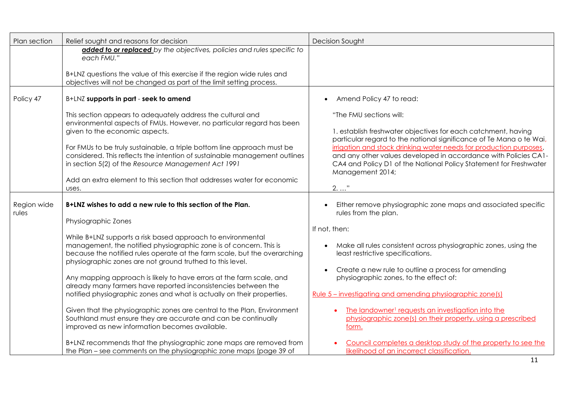| Plan section         | Relief sought and reasons for decision                                                                                                                                                                                                                                                                                                                                                                                                                                                                                                                                                                                                                                                                                                                                                                                                                                                                                           | Decision Sought                                                                                                                                                                                                                                                                                                                                                                                                                                                                                                                                                                                                                     |
|----------------------|----------------------------------------------------------------------------------------------------------------------------------------------------------------------------------------------------------------------------------------------------------------------------------------------------------------------------------------------------------------------------------------------------------------------------------------------------------------------------------------------------------------------------------------------------------------------------------------------------------------------------------------------------------------------------------------------------------------------------------------------------------------------------------------------------------------------------------------------------------------------------------------------------------------------------------|-------------------------------------------------------------------------------------------------------------------------------------------------------------------------------------------------------------------------------------------------------------------------------------------------------------------------------------------------------------------------------------------------------------------------------------------------------------------------------------------------------------------------------------------------------------------------------------------------------------------------------------|
|                      | added to or replaced by the objectives, policies and rules specific to<br>each FMU."<br>B+LNZ questions the value of this exercise if the region wide rules and<br>objectives will not be changed as part of the limit setting process.                                                                                                                                                                                                                                                                                                                                                                                                                                                                                                                                                                                                                                                                                          |                                                                                                                                                                                                                                                                                                                                                                                                                                                                                                                                                                                                                                     |
| Policy 47            | B+LNZ supports in part - seek to amend                                                                                                                                                                                                                                                                                                                                                                                                                                                                                                                                                                                                                                                                                                                                                                                                                                                                                           | Amend Policy 47 to read:<br>$\bullet$                                                                                                                                                                                                                                                                                                                                                                                                                                                                                                                                                                                               |
|                      | This section appears to adequately address the cultural and<br>environmental aspects of FMUs. However, no particular regard has been<br>given to the economic aspects.<br>For FMUs to be truly sustainable, a triple bottom line approach must be<br>considered. This reflects the intention of sustainable management outlines<br>in section 5(2) of the Resource Management Act 1991<br>Add an extra element to this section that addresses water for economic                                                                                                                                                                                                                                                                                                                                                                                                                                                                 | "The FMU sections will:<br>1. establish freshwater objectives for each catchment, having<br>particular regard to the national significance of Te Mana o te Wai,<br>irrigation and stock drinking water needs for production purposes,<br>and any other values developed in accordance with Policies CA1-<br>CA4 and Policy D1 of the National Policy Statement for Freshwater<br>Management 2014;                                                                                                                                                                                                                                   |
|                      | uses.                                                                                                                                                                                                                                                                                                                                                                                                                                                                                                                                                                                                                                                                                                                                                                                                                                                                                                                            | $2. \ldots$ "                                                                                                                                                                                                                                                                                                                                                                                                                                                                                                                                                                                                                       |
| Region wide<br>rules | B+LNZ wishes to add a new rule to this section of the Plan.<br>Physiographic Zones<br>While B+LNZ supports a risk based approach to environmental<br>management, the notified physiographic zone is of concern. This is<br>because the notified rules operate at the farm scale, but the overarching<br>physiographic zones are not ground truthed to this level.<br>Any mapping approach is likely to have errors at the farm scale, and<br>already many farmers have reported inconsistencies between the<br>notified physiographic zones and what is actually on their properties.<br>Given that the physiographic zones are central to the Plan, Environment<br>Southland must ensure they are accurate and can be continually<br>improved as new information becomes available.<br>B+LNZ recommends that the physiographic zone maps are removed from<br>the Plan – see comments on the physiographic zone maps (page 39 of | Either remove physiographic zone maps and associated specific<br>rules from the plan.<br>If not, then:<br>Make all rules consistent across physiographic zones, using the<br>least restrictive specifications.<br>Create a new rule to outline a process for amending<br>physiographic zones, to the effect of:<br>Rule 5 – investigating and amending physiographic zone(s)<br>The landowner <sup>1</sup> requests an investigation into the<br>physiographic zone(s) on their property, using a prescribed<br>form.<br>Council completes a desktop study of the property to see the<br>likelihood of an incorrect classification. |
|                      |                                                                                                                                                                                                                                                                                                                                                                                                                                                                                                                                                                                                                                                                                                                                                                                                                                                                                                                                  | 11                                                                                                                                                                                                                                                                                                                                                                                                                                                                                                                                                                                                                                  |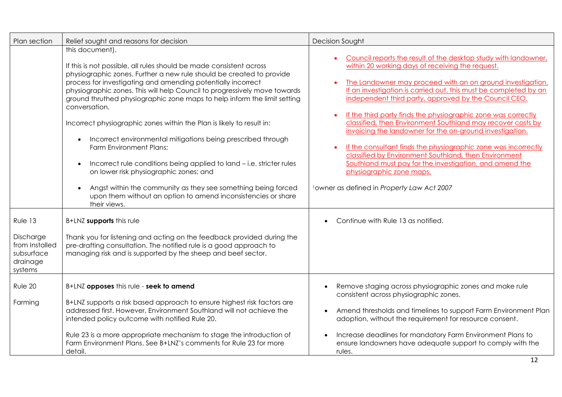| Plan section                                                                | Relief sought and reasons for decision                                                                                                                                                                                                                                                                                                                                                                                                                                                                                                                                                                                                                                                                                                                                                                                                                                      | Decision Sought                                                                                                                                                                                                                                                                                                                                                                                                                                                                                                                                                                                                                                                                                                                                                                                     |
|-----------------------------------------------------------------------------|-----------------------------------------------------------------------------------------------------------------------------------------------------------------------------------------------------------------------------------------------------------------------------------------------------------------------------------------------------------------------------------------------------------------------------------------------------------------------------------------------------------------------------------------------------------------------------------------------------------------------------------------------------------------------------------------------------------------------------------------------------------------------------------------------------------------------------------------------------------------------------|-----------------------------------------------------------------------------------------------------------------------------------------------------------------------------------------------------------------------------------------------------------------------------------------------------------------------------------------------------------------------------------------------------------------------------------------------------------------------------------------------------------------------------------------------------------------------------------------------------------------------------------------------------------------------------------------------------------------------------------------------------------------------------------------------------|
|                                                                             | this document).<br>If this is not possible, all rules should be made consistent across<br>physiographic zones. Further a new rule should be created to provide<br>process for investigating and amending potentially incorrect<br>physiographic zones. This will help Council to progressively move towards<br>ground thruthed physiographic zone maps to help inform the limit setting<br>conversation.<br>Incorrect physiographic zones within the Plan is likely to result in:<br>Incorrect environmental mitigations being prescribed through<br>$\bullet$<br>Farm Environment Plans;<br>Incorrect rule conditions being applied to land - i.e. stricter rules<br>$\bullet$<br>on lower risk physiographic zones; and<br>Angst within the community as they see something being forced<br>upon them without an option to amend inconsistencies or share<br>their views. | Council reports the result of the desktop study with landowner,<br>within 20 working days of receiving the request.<br>The Landowner may proceed with an on ground investigation.<br>If an investigation is carried out, this must be completed by an<br>independent third party, approved by the Council CEO.<br>If the third party finds the physiographic zone was correctly<br>$\bullet$<br>classified, then Environment Southland may recover costs by<br>invoicing the landowner for the on-ground investigation.<br>If the consultant finds the physiographic zone was incorrectly<br>classified by Environment Southland, then Environment<br>Southland must pay for the investigation, and amend the<br>physiographic zone maps.<br><sup>1</sup> owner as defined in Property Law Act 2007 |
| Rule 13<br>Discharge<br>from Installed<br>subsurface<br>drainage<br>systems | B+LNZ supports this rule<br>Thank you for listening and acting on the feedback provided during the<br>pre-drafting consultation. The notified rule is a good approach to<br>managing risk and is supported by the sheep and beef sector.                                                                                                                                                                                                                                                                                                                                                                                                                                                                                                                                                                                                                                    | Continue with Rule 13 as notified.                                                                                                                                                                                                                                                                                                                                                                                                                                                                                                                                                                                                                                                                                                                                                                  |
| Rule 20<br>Farming                                                          | B+LNZ opposes this rule - seek to amend<br>B+LNZ supports a risk based approach to ensure highest risk factors are<br>addressed first. However, Environment Southland will not achieve the<br>intended policy outcome with notified Rule 20.<br>Rule 23 is a more appropriate mechanism to stage the introduction of<br>Farm Environment Plans, See B+LNZ's comments for Rule 23 for more<br>detail.                                                                                                                                                                                                                                                                                                                                                                                                                                                                        | Remove staging across physiographic zones and make rule<br>consistent across physiographic zones.<br>Amend thresholds and timelines to support Farm Environment Plan<br>adoption, without the requirement for resource consent.<br>Increase deadlines for mandatory Farm Environment Plans to<br>ensure landowners have adequate support to comply with the<br>rules.                                                                                                                                                                                                                                                                                                                                                                                                                               |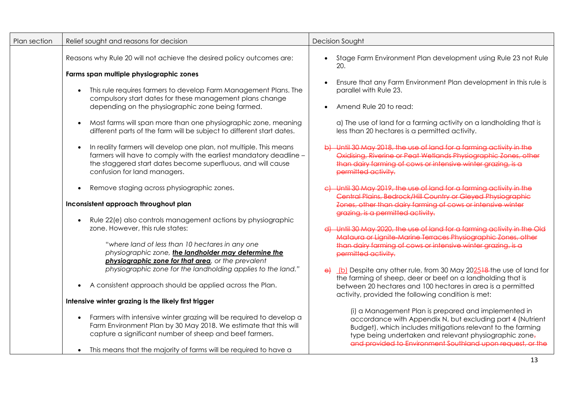| Plan section | Relief sought and reasons for decision                                                                                                                                                                                                   | <b>Decision Sought</b>                                                                                                                                                                                                                                                                                    |
|--------------|------------------------------------------------------------------------------------------------------------------------------------------------------------------------------------------------------------------------------------------|-----------------------------------------------------------------------------------------------------------------------------------------------------------------------------------------------------------------------------------------------------------------------------------------------------------|
|              | Reasons why Rule 20 will not achieve the desired policy outcomes are:                                                                                                                                                                    | Stage Farm Environment Plan development using Rule 23 not Rule<br>20.                                                                                                                                                                                                                                     |
|              | Farms span multiple physiographic zones                                                                                                                                                                                                  |                                                                                                                                                                                                                                                                                                           |
|              | This rule requires farmers to develop Farm Management Plans. The<br>compulsory start dates for these management plans change                                                                                                             | Ensure that any Farm Environment Plan development in this rule is<br>$\bullet$<br>parallel with Rule 23.                                                                                                                                                                                                  |
|              | depending on the physiographic zone being farmed.                                                                                                                                                                                        | Amend Rule 20 to read:                                                                                                                                                                                                                                                                                    |
|              | Most farms will span more than one physiographic zone, meaning<br>different parts of the farm will be subject to different start dates.                                                                                                  | a) The use of land for a farming activity on a landholding that is<br>less than 20 hectares is a permitted activity.                                                                                                                                                                                      |
|              | In reality farmers will develop one plan, not multiple. This means<br>farmers will have to comply with the earliest mandatory deadline -<br>the staggered start dates become superfluous, and will cause<br>confusion for land managers. | Until 30 May 2018, the use of land for a farming activity in the<br>Oxidising, Riverine or Peat Wetlands Physiographic Zones, other<br>than dairy farming of cows or intensive winter grazing, is a<br>permitted activity.                                                                                |
|              | Remove staging across physiographic zones.<br>$\bullet$                                                                                                                                                                                  | Until 30 May 2019, the use of land for a farmina activity in the<br>Central Plains, Bedrock/Hill Country or Gleyed Physiographic                                                                                                                                                                          |
|              | Inconsistent approach throughout plan                                                                                                                                                                                                    | Zones, other than dairy farming of cows or intensive winter<br>grazing, is a permitted activity.                                                                                                                                                                                                          |
|              | Rule 22(e) also controls management actions by physiographic                                                                                                                                                                             |                                                                                                                                                                                                                                                                                                           |
|              | zone. However, this rule states:                                                                                                                                                                                                         | Until 30 May 2020, the use of land for a farming activity in the Old<br>Mataura or Lianite-Marine Terraces Physioaraphic Zones, other                                                                                                                                                                     |
|              | "where land of less than 10 hectares in any one<br>physiographic zone, the landholder may determine the<br>physiographic zone for that area, or the prevalent                                                                            | than dairy farming of cows or intensive winter grazing, is a<br>permitted activity.                                                                                                                                                                                                                       |
|              | physiographic zone for the landholding applies to the land."                                                                                                                                                                             | $\theta$ (b) Despite any other rule, from 30 May 202518-the use of land for<br>the farming of sheep, deer or beef on a landholding that is                                                                                                                                                                |
|              | A consistent approach should be applied across the Plan.<br>$\bullet$                                                                                                                                                                    | between 20 hectares and 100 hectares in area is a permitted<br>activity, provided the following condition is met:                                                                                                                                                                                         |
|              | Intensive winter grazing is the likely first trigger                                                                                                                                                                                     |                                                                                                                                                                                                                                                                                                           |
|              | Farmers with intensive winter grazing will be required to develop a<br>Farm Environment Plan by 30 May 2018. We estimate that this will<br>capture a significant number of sheep and beef farmers.                                       | (i) a Management Plan is prepared and implemented in<br>accordance with Appendix N, but excluding part 4 (Nutrient<br>Budget), which includes mitigations relevant to the farming<br>type being undertaken and relevant physiographic zone,<br>and provided to Environment Southland upon request, or the |
|              | This means that the majority of farms will be required to have a                                                                                                                                                                         |                                                                                                                                                                                                                                                                                                           |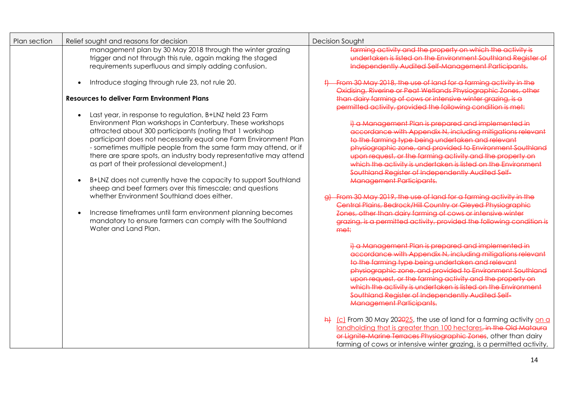| Plan section | Relief sought and reasons for decision                                                                                                                                                                                                                                                                                                                                                                                                                                                                                                                                                                                                                                                                                                                                                                                 | <b>Decision Sought</b>                                                                                                                                                                                                                                                                                                                                                                                                                                                                                                                                                                                                                                                                                                                                           |
|--------------|------------------------------------------------------------------------------------------------------------------------------------------------------------------------------------------------------------------------------------------------------------------------------------------------------------------------------------------------------------------------------------------------------------------------------------------------------------------------------------------------------------------------------------------------------------------------------------------------------------------------------------------------------------------------------------------------------------------------------------------------------------------------------------------------------------------------|------------------------------------------------------------------------------------------------------------------------------------------------------------------------------------------------------------------------------------------------------------------------------------------------------------------------------------------------------------------------------------------------------------------------------------------------------------------------------------------------------------------------------------------------------------------------------------------------------------------------------------------------------------------------------------------------------------------------------------------------------------------|
|              | management plan by 30 May 2018 through the winter grazing<br>trigger and not through this rule, again making the staged<br>requirements superfluous and simply adding confusion.                                                                                                                                                                                                                                                                                                                                                                                                                                                                                                                                                                                                                                       | farming activity and the property on which the activity is<br>undertaken is listed on the Environment Southland Reaister of<br>Independently Audited Self-Management Participants.                                                                                                                                                                                                                                                                                                                                                                                                                                                                                                                                                                               |
|              | Introduce staging through rule 23, not rule 20.<br>$\bullet$<br><b>Resources to deliver Farm Environment Plans</b>                                                                                                                                                                                                                                                                                                                                                                                                                                                                                                                                                                                                                                                                                                     | From 30 May 2018, the use of land for a farming activity in the<br>Oxidising, Riverine or Peat Wetlands Physioaraphic Zones. other<br>than dairy farming of cows or intensive winter grazing, is a<br>permitted activity, provided the following condition is met:                                                                                                                                                                                                                                                                                                                                                                                                                                                                                               |
|              | Last year, in response to regulation, B+LNZ held 23 Farm<br>$\bullet$<br>Environment Plan workshops in Canterbury. These workshops<br>attracted about 300 participants (noting that 1 workshop<br>participant does not necessarily equal one Farm Environment Plan<br>- sometimes multiple people from the same farm may attend, or if<br>there are spare spots, an industry body representative may attend<br>as part of their professional development.)<br>B+LNZ does not currently have the capacity to support Southland<br>$\bullet$<br>sheep and beef farmers over this timescale; and questions<br>whether Environment Southland does either.<br>Increase timeframes until farm environment planning becomes<br>$\bullet$<br>mandatory to ensure farmers can comply with the Southland<br>Water and Land Plan. | il a Management Plan is prepared and implemented in<br>accordance with Appendix N, including mitigations relevant<br>to the farming type being undertaken and relevant<br>physiographic zone, and provided to Environment Southland<br>upon request, or the farming activity and the property on<br>which the activity is undertaken is listed on the Environment<br>Southland Register of Independently Audited Self<br><b>Management Participants.</b><br>From 30 May 2019, the use of land for a farming activity in the<br>Central Plains, Bedrock/Hill Country or Gleyed Physiographic<br>Zones, other than dairy farming of cows or intensive winter<br>grazina, is a permitted activity, provided the following condition is<br>me‡:                      |
|              |                                                                                                                                                                                                                                                                                                                                                                                                                                                                                                                                                                                                                                                                                                                                                                                                                        | i) a Management Plan is prepared and implemented in<br>accordance with Appendix N, including mitigations relevant<br>to the farming type being undertaken and relevant<br>physiographic zone, and provided to Environment Southland<br>upon request, or the farming activity and the property on<br>which the activity is undertaken is listed on the Environment<br>Southland Register of Independently Audited Self-<br><b>Management Participants.</b><br>$\frac{h}{r}$ (c) From 30 May 202025, the use of land for a farming activity on a<br>landholding that is greater than 100 hectares, in the Old Mataura<br>or Lignite-Marine Terraces Physiographic Zones, other than dairy<br>farming of cows or intensive winter grazing, is a permitted activity, |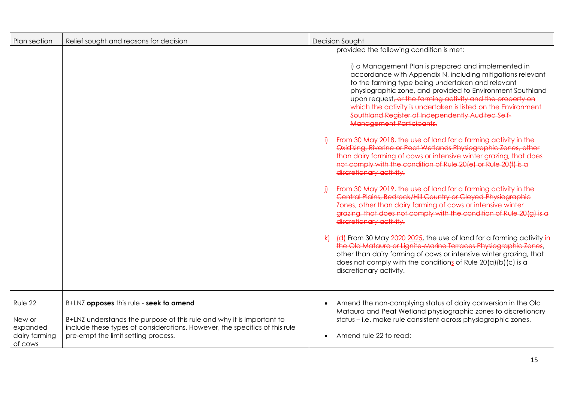| Plan section                                              | Relief sought and reasons for decision                                                                                                                                                                                                | <b>Decision Sought</b>                                                                                                                                                                                                                                                                                                                                                                                                                                                                                                                                                                                                                                                                                                                                                                                                                                                                                                                                                                                                                                                                                                                                                                                                                                                                                                                                                                                                         |
|-----------------------------------------------------------|---------------------------------------------------------------------------------------------------------------------------------------------------------------------------------------------------------------------------------------|--------------------------------------------------------------------------------------------------------------------------------------------------------------------------------------------------------------------------------------------------------------------------------------------------------------------------------------------------------------------------------------------------------------------------------------------------------------------------------------------------------------------------------------------------------------------------------------------------------------------------------------------------------------------------------------------------------------------------------------------------------------------------------------------------------------------------------------------------------------------------------------------------------------------------------------------------------------------------------------------------------------------------------------------------------------------------------------------------------------------------------------------------------------------------------------------------------------------------------------------------------------------------------------------------------------------------------------------------------------------------------------------------------------------------------|
|                                                           |                                                                                                                                                                                                                                       | provided the following condition is met:<br>i) a Management Plan is prepared and implemented in<br>accordance with Appendix N, including mitigations relevant<br>to the farming type being undertaken and relevant<br>physiographic zone, and provided to Environment Southland<br>upon request, or the farming activity and the property on<br>which the activity is undertaken is listed on the Environment<br>Southland Reaister of Independently Audited Self-<br><b>Management Participants.</b><br>From 30 May 2018, the use of land for a farming activity in the<br>Oxidising, Riverine or Peat Wetlands Physiographic Zones, other<br>than dairy farming of cows or intensive winter grazing, that does<br>not comply with the condition of Rule 20(e) or Rule 20(f) is a<br>discretionary activity.<br>From 30 May 2019, the use of land for a farming activity in the<br>Central Plains, Bedrock/Hill Country or Gleyed Physiographic<br>Zones, other than dairy farming of cows or intensive winter<br>grazing, that does not comply with the condition of Rule 20(a) is a<br>discretionary activity.<br>(d) From 30 May 2020 2025, the use of land for a farming activity in<br>the Old Mataura or Lignite-Marine Terraces Physiographic Zones<br>other than dairy farming of cows or intensive winter grazing, that<br>does not comply with the conditions of Rule $20(a)(b)(c)$ is a<br>discretionary activity. |
| Rule 22<br>New or<br>expanded<br>dairy farming<br>of cows | B+LNZ opposes this rule - seek to amend<br>B+LNZ understands the purpose of this rule and why it is important to<br>include these types of considerations. However, the specifics of this rule<br>pre-empt the limit setting process. | Amend the non-complying status of dairy conversion in the Old<br>$\bullet$<br>Mataura and Peat Wetland physiographic zones to discretionary<br>status – i.e. make rule consistent across physiographic zones.<br>Amend rule 22 to read:                                                                                                                                                                                                                                                                                                                                                                                                                                                                                                                                                                                                                                                                                                                                                                                                                                                                                                                                                                                                                                                                                                                                                                                        |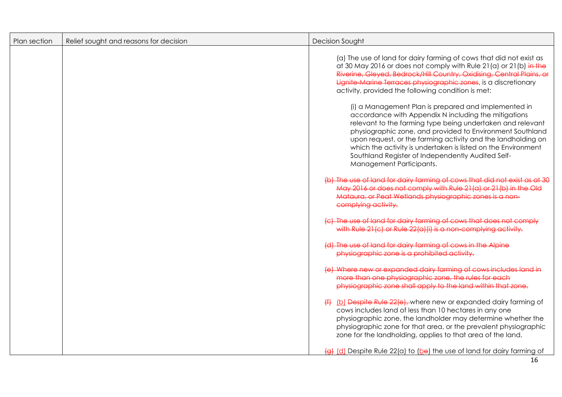| Plan section | Relief sought and reasons for decision | <b>Decision Sought</b>                                                                                                                                                                                                                                                                                                                                                                                                                                    |
|--------------|----------------------------------------|-----------------------------------------------------------------------------------------------------------------------------------------------------------------------------------------------------------------------------------------------------------------------------------------------------------------------------------------------------------------------------------------------------------------------------------------------------------|
|              |                                        | (a) The use of land for dairy farming of cows that did not exist as<br>at 30 May 2016 or does not comply with Rule 21(a) or 21(b) in the<br>Riverine, Gleved, Bedrock/Hill Country, Oxidisina, Central Plains, or<br>Lignite-Marine Terraces physiographic zones, is a discretionary<br>activity, provided the following condition is met:                                                                                                                |
|              |                                        | (i) a Management Plan is prepared and implemented in<br>accordance with Appendix N including the mitigations<br>relevant to the farming type being undertaken and relevant<br>physiographic zone, and provided to Environment Southland<br>upon request, or the farming activity and the landholding on<br>which the activity is undertaken is listed on the Environment<br>Southland Register of Independently Audited Self-<br>Management Participants. |
|              |                                        | (b) The use of land for dairy farming of cows that did not exist as at 30<br>May 2016 or does not comply with Rule 21(a) or 21(b) in the Old<br>Mataura, or Peat Wetlands physiographic zones is a non-<br>complying activity.                                                                                                                                                                                                                            |
|              |                                        | (c) The use of land for dairy farming of cows that does not comply<br>with Rule 21(c) or Rule 22(a)(i) is a non-complying activity.                                                                                                                                                                                                                                                                                                                       |
|              |                                        | (d) The use of land for dairy farming of cows in the Alpine<br>physiographic zone is a prohibited activity.                                                                                                                                                                                                                                                                                                                                               |
|              |                                        | (e) Where new or expanded dairy farming of cows includes land in<br>more than one physiographic zone, the rules for each<br>physiographic zone shall apply to the land within that zone.                                                                                                                                                                                                                                                                  |
|              |                                        | (4) (b) Despite Rule 22(e), where new or expanded dairy farming of<br>cows includes land of less than 10 hectares in any one<br>physiographic zone, the landholder may determine whether the<br>physiographic zone for that area, or the prevalent physiographic<br>zone for the landholding, applies to that area of the land.                                                                                                                           |
|              |                                        | $\frac{1}{2}$ (d) Despite Rule 22(a) to (be) the use of land for dairy farming of<br>16                                                                                                                                                                                                                                                                                                                                                                   |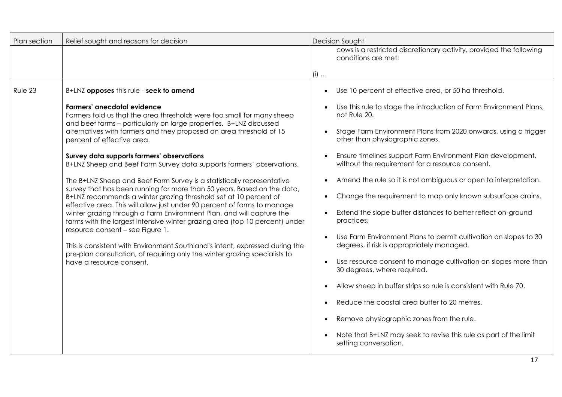| Plan section | Relief sought and reasons for decision                                                                                                                                                                                                                                                                                                                                                                                                                                                                                            | Decision Sought                                                                                                |
|--------------|-----------------------------------------------------------------------------------------------------------------------------------------------------------------------------------------------------------------------------------------------------------------------------------------------------------------------------------------------------------------------------------------------------------------------------------------------------------------------------------------------------------------------------------|----------------------------------------------------------------------------------------------------------------|
|              |                                                                                                                                                                                                                                                                                                                                                                                                                                                                                                                                   | cows is a restricted discretionary activity, provided the following<br>conditions are met:                     |
|              |                                                                                                                                                                                                                                                                                                                                                                                                                                                                                                                                   | $(i)$                                                                                                          |
| Rule 23      | B+LNZ opposes this rule - seek to amend                                                                                                                                                                                                                                                                                                                                                                                                                                                                                           | Use 10 percent of effective area, or 50 ha threshold.<br>$\bullet$                                             |
|              | Farmers' anecdotal evidence<br>Farmers told us that the area thresholds were too small for many sheep<br>and beef farms - particularly on large properties. B+LNZ discussed<br>alternatives with farmers and they proposed an area threshold of 15<br>percent of effective area.                                                                                                                                                                                                                                                  | Use this rule to stage the introduction of Farm Environment Plans,<br>not Rule 20.                             |
|              |                                                                                                                                                                                                                                                                                                                                                                                                                                                                                                                                   | Stage Farm Environment Plans from 2020 onwards, using a trigger<br>other than physiographic zones.             |
|              | Survey data supports farmers' observations<br>B+LNZ Sheep and Beef Farm Survey data supports farmers' observations.                                                                                                                                                                                                                                                                                                                                                                                                               | Ensure timelines support Farm Environment Plan development,<br>without the requirement for a resource consent. |
|              | The B+LNZ Sheep and Beef Farm Survey is a statistically representative<br>survey that has been running for more than 50 years. Based on the data,                                                                                                                                                                                                                                                                                                                                                                                 | Amend the rule so it is not ambiguous or open to interpretation.<br>$\bullet$                                  |
|              | B+LNZ recommends a winter grazing threshold set at 10 percent of<br>effective area. This will allow just under 90 percent of farms to manage<br>winter grazing through a Farm Environment Plan, and will capture the<br>farms with the largest intensive winter grazing area (top 10 percent) under<br>resource consent - see Figure 1.<br>This is consistent with Environment Southland's intent, expressed during the<br>pre-plan consultation, of requiring only the winter grazing specialists to<br>have a resource consent. | Change the requirement to map only known subsurface drains.                                                    |
|              |                                                                                                                                                                                                                                                                                                                                                                                                                                                                                                                                   | Extend the slope buffer distances to better reflect on-ground<br>practices.                                    |
|              |                                                                                                                                                                                                                                                                                                                                                                                                                                                                                                                                   | Use Farm Environment Plans to permit cultivation on slopes to 30<br>degrees, if risk is appropriately managed. |
|              |                                                                                                                                                                                                                                                                                                                                                                                                                                                                                                                                   | Use resource consent to manage cultivation on slopes more than<br>30 degrees, where required.                  |
|              |                                                                                                                                                                                                                                                                                                                                                                                                                                                                                                                                   | Allow sheep in buffer strips so rule is consistent with Rule 70.<br>$\bullet$                                  |
|              |                                                                                                                                                                                                                                                                                                                                                                                                                                                                                                                                   | Reduce the coastal area buffer to 20 metres.<br>$\bullet$                                                      |
|              |                                                                                                                                                                                                                                                                                                                                                                                                                                                                                                                                   | Remove physiographic zones from the rule.<br>$\bullet$                                                         |
|              |                                                                                                                                                                                                                                                                                                                                                                                                                                                                                                                                   | Note that B+LNZ may seek to revise this rule as part of the limit<br>setting conversation.                     |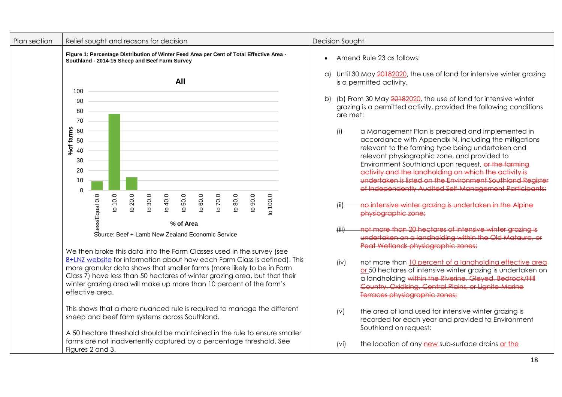| Plan section | Relief sought and reasons for decision                                                                                                                                                                                                                                                                                                                                                               | <b>Decision Sought</b>                                                                                                                                                                                                                                                                                                                                                                                                                                       |
|--------------|------------------------------------------------------------------------------------------------------------------------------------------------------------------------------------------------------------------------------------------------------------------------------------------------------------------------------------------------------------------------------------------------------|--------------------------------------------------------------------------------------------------------------------------------------------------------------------------------------------------------------------------------------------------------------------------------------------------------------------------------------------------------------------------------------------------------------------------------------------------------------|
|              | Figure 1: Percentage Distribution of Winter Feed Area per Cent of Total Effective Area -<br>Southland - 2014-15 Sheep and Beef Farm Survey                                                                                                                                                                                                                                                           | Amend Rule 23 as follows:                                                                                                                                                                                                                                                                                                                                                                                                                                    |
|              | All                                                                                                                                                                                                                                                                                                                                                                                                  | Until 30 May 20182020, the use of land for intensive winter grazing<br>a)<br>is a permitted activity.                                                                                                                                                                                                                                                                                                                                                        |
|              | 100<br>90<br>80<br>70                                                                                                                                                                                                                                                                                                                                                                                | (b) From 30 May 20182020, the use of land for intensive winter<br>b)<br>grazing is a permitted activity, provided the following conditions<br>are met:                                                                                                                                                                                                                                                                                                       |
|              | %of farms<br>60<br>50<br>40<br>30<br>20<br>10<br>$\Omega$                                                                                                                                                                                                                                                                                                                                            | (i)<br>a Management Plan is prepared and implemented in<br>accordance with Appendix N, including the mitigations<br>relevant to the farming type being undertaken and<br>relevant physiographic zone, and provided to<br>Environment Southland upon request, or the farming<br>activity and the landholding on which the activity is<br>undertaken is listed on the Environment Southland Reaister<br>of Independently Audited Self Management Participants; |
|              | 20.0<br>to 100.0<br>to $10.0$<br>30.0<br>to 50.0<br>to $80.0$<br>to $90.0$<br>ess/Equal 0.0<br>to 40.0<br>to $60.0$<br>to 70.0<br>Q.<br>$\Omega$<br>% of Area                                                                                                                                                                                                                                        | no intensive winter grazing is undertaken in the Alpine<br>physiographic zone;                                                                                                                                                                                                                                                                                                                                                                               |
|              | Source: Beef + Lamb New Zealand Economic Service                                                                                                                                                                                                                                                                                                                                                     | not more than 20 hectares of intensive winter arazina is<br>f(iii)<br>undertaken on a landholding within the Old Mataura, or<br>Peat Wetlands physiographic zones;                                                                                                                                                                                                                                                                                           |
|              | We then broke this data into the Farm Classes used in the survey (see<br>B+LNZ website for information about how each Farm Class is defined). This<br>more granular data shows that smaller farms (more likely to be in Farm<br>Class 7) have less than 50 hectares of winter grazing area, but that their<br>winter grazing area will make up more than 10 percent of the farm's<br>effective area. | not more than 10 percent of a landholding effective area<br>(iv)<br>or 50 hectares of intensive winter grazing is undertaken on<br>a landholding within the Riverine, Gleyed, Bedrock/Hill<br>Country, Oxidisina, Central Plains, or Lianite-Marine<br>Terraces physiographic zones;                                                                                                                                                                         |
|              | This shows that a more nuanced rule is required to manage the different<br>sheep and beef farm systems across Southland.                                                                                                                                                                                                                                                                             | the area of land used for intensive winter grazing is<br>(v)<br>recorded for each year and provided to Environment<br>Southland on request;                                                                                                                                                                                                                                                                                                                  |
|              | A 50 hectare threshold should be maintained in the rule to ensure smaller<br>farms are not inadvertently captured by a percentage threshold. See<br>Figures 2 and 3.                                                                                                                                                                                                                                 | the location of any new sub-surface drains or the<br>(vi)                                                                                                                                                                                                                                                                                                                                                                                                    |
|              |                                                                                                                                                                                                                                                                                                                                                                                                      | 18                                                                                                                                                                                                                                                                                                                                                                                                                                                           |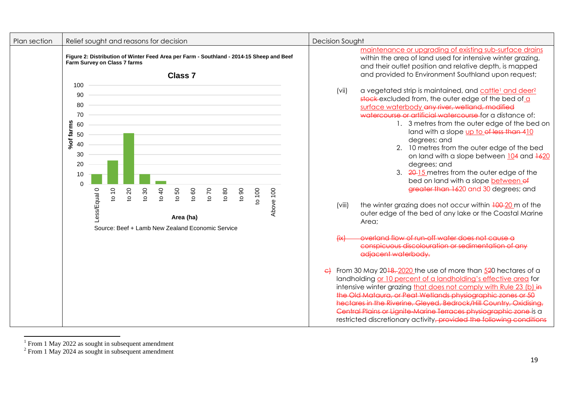| Plan section | Relief sought and reasons for decision                                                                                                                                                                                                                                            | <b>Decision Sought</b>                                                                                                                                                                                                                                                                                                                                                                                                                                                                                                                                                                                                                                                                                                                                                                                                                                                                                                                                                                                                                                                                                                                                                                                                                                                                                                                                                                                             |
|--------------|-----------------------------------------------------------------------------------------------------------------------------------------------------------------------------------------------------------------------------------------------------------------------------------|--------------------------------------------------------------------------------------------------------------------------------------------------------------------------------------------------------------------------------------------------------------------------------------------------------------------------------------------------------------------------------------------------------------------------------------------------------------------------------------------------------------------------------------------------------------------------------------------------------------------------------------------------------------------------------------------------------------------------------------------------------------------------------------------------------------------------------------------------------------------------------------------------------------------------------------------------------------------------------------------------------------------------------------------------------------------------------------------------------------------------------------------------------------------------------------------------------------------------------------------------------------------------------------------------------------------------------------------------------------------------------------------------------------------|
|              | Figure 2: Distribution of Winter Feed Area per Farm - Southland - 2014-15 Sheep and Beef<br>Farm Survey on Class 7 farms<br><b>Class 7</b>                                                                                                                                        | maintenance or upgrading of existing sub-surface drains<br>within the area of land used for intensive winter grazing,<br>and their outlet position and relative depth, is mapped<br>and provided to Environment Southland upon request;                                                                                                                                                                                                                                                                                                                                                                                                                                                                                                                                                                                                                                                                                                                                                                                                                                                                                                                                                                                                                                                                                                                                                                            |
|              | 100<br>90<br>80<br>70<br>%of farms<br>60<br>50<br>40<br>30<br>20<br>10<br>$\Omega$<br>Above 100<br>010<br>to 100<br>Less/Equal 0<br>1020<br>0601<br>1040<br><b>0901</b><br>020<br>1080<br>1030<br>င္ဟ<br>$\circ$<br>Area (ha)<br>Source: Beef + Lamb New Zealand Economic Service | (vii)<br>a vegetated strip is maintained, and cattle <sup>1</sup> and deer <sup>2</sup><br>stock excluded from, the outer edge of the bed of a<br>surface waterbody any river, wetland, modified<br>watercourse or artificial watercourse for a distance of:<br>1. 3 metres from the outer edge of the bed on<br>land with a slope up to of less than 410<br>degrees; and<br>2. 10 metres from the outer edge of the bed<br>on land with a slope between 104 and 1620<br>degrees; and<br>3. 20-15 metres from the outer edge of the<br>bed on land with a slope between of<br>greater than 1620 and 30 degrees; and<br>the winter grazing does not occur within $\frac{100-20}{100}$ m of the<br>(viii)<br>outer edge of the bed of any lake or the Coastal Marine<br>Area;<br>overland flow of run-off water does not cause a<br>conspicuous discolouration or sedimentation of any<br>adjacent waterbody.<br>From 30 May 20 <del>18, 2020</del> the use of more than 520 hectares of a<br>landholding or 10 percent of a landholding's effective area for<br>intensive winter grazing that does not comply with Rule 23 (b) in<br>the Old Mataura, or Peat Wetlands physiographic zones or 50<br>hectares in the Riverine, Gleyed, Bedrock/Hill Country, Oxidising,<br>Central Plains or Lianite-Marine Terraces physiographic zone is a<br>restricted discretionary activity, provided the following conditions |

<sup>&</sup>lt;sup>1</sup> From 1 May 2022 as sought in subsequent amendment <sup>2</sup> From 1 May 2024 as sought in subsequent amendment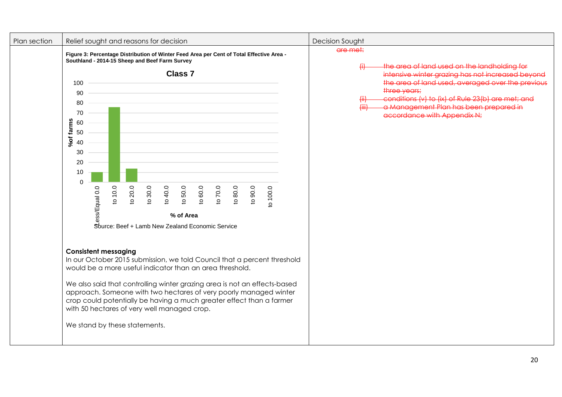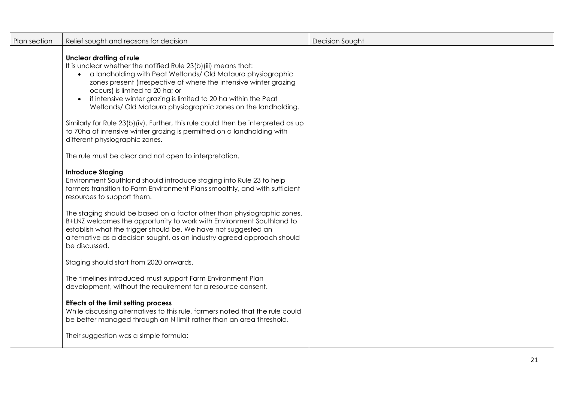| Plan section | Relief sought and reasons for decision                                                                                                                                                                                                                                                                                                                                                                                    | Decision Sought |
|--------------|---------------------------------------------------------------------------------------------------------------------------------------------------------------------------------------------------------------------------------------------------------------------------------------------------------------------------------------------------------------------------------------------------------------------------|-----------------|
|              | <b>Unclear drafting of rule</b><br>It is unclear whether the notified Rule 23(b)(iii) means that:<br>• a landholding with Peat Wetlands/Old Mataura physiographic<br>zones present (irrespective of where the intensive winter grazing<br>occurs) is limited to 20 ha; or<br>if intensive winter grazing is limited to 20 ha within the Peat<br>$\bullet$<br>Wetlands/Old Mataura physiographic zones on the landholding. |                 |
|              | Similarly for Rule 23(b) (iv). Further, this rule could then be interpreted as up<br>to 70ha of intensive winter grazing is permitted on a landholding with<br>different physiographic zones.                                                                                                                                                                                                                             |                 |
|              | The rule must be clear and not open to interpretation.                                                                                                                                                                                                                                                                                                                                                                    |                 |
|              | <b>Introduce Staging</b><br>Environment Southland should introduce staging into Rule 23 to help<br>farmers transition to Farm Environment Plans smoothly, and with sufficient<br>resources to support them.                                                                                                                                                                                                               |                 |
|              | The staging should be based on a factor other than physiographic zones.<br>B+LNZ welcomes the opportunity to work with Environment Southland to<br>establish what the trigger should be. We have not suggested an<br>alternative as a decision sought, as an industry agreed approach should<br>be discussed.                                                                                                             |                 |
|              | Staging should start from 2020 onwards.                                                                                                                                                                                                                                                                                                                                                                                   |                 |
|              | The timelines introduced must support Farm Environment Plan<br>development, without the requirement for a resource consent.                                                                                                                                                                                                                                                                                               |                 |
|              | <b>Effects of the limit setting process</b><br>While discussing alternatives to this rule, farmers noted that the rule could<br>be better managed through an N limit rather than an area threshold.                                                                                                                                                                                                                       |                 |
|              | Their suggestion was a simple formula:                                                                                                                                                                                                                                                                                                                                                                                    |                 |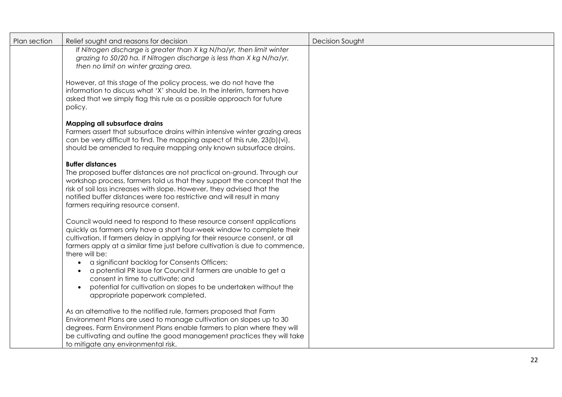| Plan section | Relief sought and reasons for decision<br>If Nitrogen discharge is greater than X kg N/ha/yr, then limit winter<br>grazing to 50/20 ha. If Nitrogen discharge is less than X kg N/ha/yr,<br>then no limit on winter grazing area.                                                                                                                                                                                                                                                                                                                                                                | <b>Decision Sought</b> |
|--------------|--------------------------------------------------------------------------------------------------------------------------------------------------------------------------------------------------------------------------------------------------------------------------------------------------------------------------------------------------------------------------------------------------------------------------------------------------------------------------------------------------------------------------------------------------------------------------------------------------|------------------------|
|              | However, at this stage of the policy process, we do not have the<br>information to discuss what 'X' should be. In the interim, farmers have<br>asked that we simply flag this rule as a possible approach for future<br>policy.                                                                                                                                                                                                                                                                                                                                                                  |                        |
|              | Mapping all subsurface drains<br>Farmers assert that subsurface drains within intensive winter grazing areas<br>can be very difficult to find. The mapping aspect of this rule, 23(b)(vi),<br>should be amended to require mapping only known subsurface drains.                                                                                                                                                                                                                                                                                                                                 |                        |
|              | <b>Buffer distances</b><br>The proposed buffer distances are not practical on-ground. Through our<br>workshop process, farmers told us that they support the concept that the<br>risk of soil loss increases with slope. However, they advised that the<br>notified buffer distances were too restrictive and will result in many<br>farmers requiring resource consent.                                                                                                                                                                                                                         |                        |
|              | Council would need to respond to these resource consent applications<br>quickly as farmers only have a short four-week window to complete their<br>cultivation. If farmers delay in applying for their resource consent, or all<br>farmers apply at a similar time just before cultivation is due to commence,<br>there will be:<br>a significant backlog for Consents Officers;<br>a potential PR issue for Council if farmers are unable to get a<br>consent in time to cultivate; and<br>potential for cultivation on slopes to be undertaken without the<br>appropriate paperwork completed. |                        |
|              | As an alternative to the notified rule, farmers proposed that Farm<br>Environment Plans are used to manage cultivation on slopes up to 30<br>degrees. Farm Environment Plans enable farmers to plan where they will<br>be cultivating and outline the good management practices they will take<br>to mitigate any environmental risk.                                                                                                                                                                                                                                                            |                        |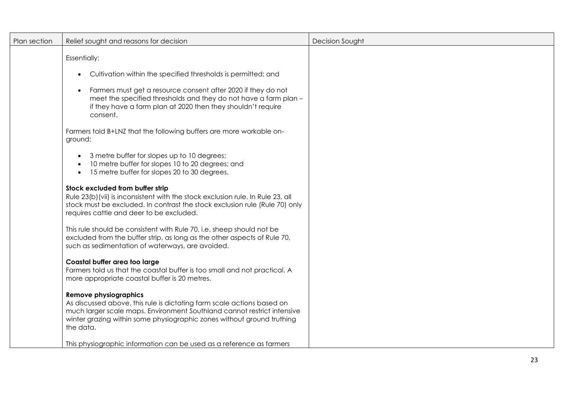| Plan section | Relief sought and reasons for decision                                                                                                                                                                                                                                   | Decision Sought |
|--------------|--------------------------------------------------------------------------------------------------------------------------------------------------------------------------------------------------------------------------------------------------------------------------|-----------------|
|              | <b>Essentially:</b><br>Cultivation within the specified thresholds is permitted; and<br>$\bullet$                                                                                                                                                                        |                 |
|              |                                                                                                                                                                                                                                                                          |                 |
|              | Farmers must get a resource consent after 2020 if they do not<br>meet the specified thresholds and they do not have a farm plan -<br>if they have a farm plan at 2020 then they shouldn't require<br>consent.                                                            |                 |
|              | Farmers told B+LNZ that the following buffers are more workable on-<br>ground:                                                                                                                                                                                           |                 |
|              | 3 metre buffer for slopes up to 10 degrees;<br>10 metre buffer for slopes 10 to 20 degrees; and<br>15 metre buffer for slopes 20 to 30 degrees.<br>$\bullet$                                                                                                             |                 |
|              | Stock excluded from buffer strip<br>Rule 23(b) (vii) is inconsistent with the stock exclusion rule. In Rule 23, all<br>stock must be excluded. In contrast the stock exclusion rule (Rule 70) only<br>requires cattle and deer to be excluded.                           |                 |
|              | This rule should be consistent with Rule 70, i.e. sheep should not be<br>excluded from the buffer strip, as long as the other aspects of Rule 70,<br>such as sedimentation of waterways, are avoided.                                                                    |                 |
|              | Coastal buffer area too large<br>Farmers told us that the coastal buffer is too small and not practical. A<br>more appropriate coastal buffer is 20 metres.                                                                                                              |                 |
|              | <b>Remove physiographics</b><br>As discussed above, this rule is dictating farm scale actions based on<br>much larger scale maps. Environment Southland cannot restrict intensive<br>winter grazing within some physiographic zones without ground truthing<br>the data. |                 |
|              | This physiographic information can be used as a reference as farmers                                                                                                                                                                                                     |                 |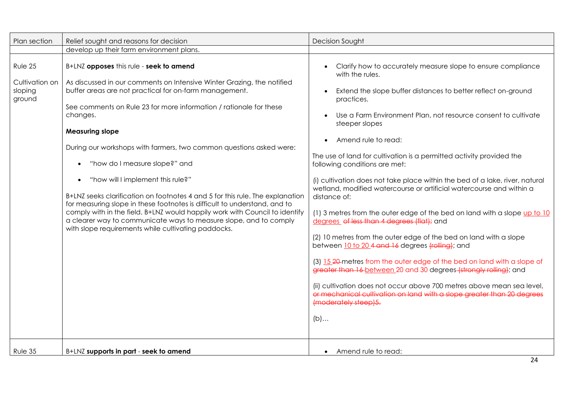| Plan section                                   | Relief sought and reasons for decision                                                                                                                                                                                                                                                                                                                                                                                                                                                                                                                                                                                                                                                                                                                                                                                                  | <b>Decision Sought</b>                                                                                                                                                                                                                                                                                                                                                                                                                                                                                                                                                                                                                                                                                                                                                                                                                                                                                                                                                                                                                                                                                                                               |
|------------------------------------------------|-----------------------------------------------------------------------------------------------------------------------------------------------------------------------------------------------------------------------------------------------------------------------------------------------------------------------------------------------------------------------------------------------------------------------------------------------------------------------------------------------------------------------------------------------------------------------------------------------------------------------------------------------------------------------------------------------------------------------------------------------------------------------------------------------------------------------------------------|------------------------------------------------------------------------------------------------------------------------------------------------------------------------------------------------------------------------------------------------------------------------------------------------------------------------------------------------------------------------------------------------------------------------------------------------------------------------------------------------------------------------------------------------------------------------------------------------------------------------------------------------------------------------------------------------------------------------------------------------------------------------------------------------------------------------------------------------------------------------------------------------------------------------------------------------------------------------------------------------------------------------------------------------------------------------------------------------------------------------------------------------------|
|                                                | develop up their farm environment plans.                                                                                                                                                                                                                                                                                                                                                                                                                                                                                                                                                                                                                                                                                                                                                                                                |                                                                                                                                                                                                                                                                                                                                                                                                                                                                                                                                                                                                                                                                                                                                                                                                                                                                                                                                                                                                                                                                                                                                                      |
| Rule 25<br>Cultivation on<br>sloping<br>ground | B+LNZ opposes this rule - seek to amend<br>As discussed in our comments on Intensive Winter Grazing, the notified<br>buffer areas are not practical for on-farm management.<br>See comments on Rule 23 for more information / rationale for these<br>changes.<br><b>Measuring slope</b><br>During our workshops with farmers, two common questions asked were:<br>"how do I measure slope?" and<br>$\bullet$<br>"how will I implement this rule?"<br>$\bullet$<br>B+LNZ seeks clarification on footnotes 4 and 5 for this rule. The explanation<br>for measuring slope in these footnotes is difficult to understand, and to<br>comply with in the field. B+LNZ would happily work with Council to identify<br>a clearer way to communicate ways to measure slope, and to comply<br>with slope requirements while cultivating paddocks. | Clarify how to accurately measure slope to ensure compliance<br>with the rules.<br>Extend the slope buffer distances to better reflect on-ground<br>practices.<br>Use a Farm Environment Plan, not resource consent to cultivate<br>steeper slopes<br>Amend rule to read:<br>The use of land for cultivation is a permitted activity provided the<br>following conditions are met:<br>(i) cultivation does not take place within the bed of a lake, river, natural<br>wetland, modified watercourse or artificial watercourse and within a<br>distance of:<br>(1) 3 metres from the outer edge of the bed on land with a slope up to 10<br>degrees of less than 4 degrees (flat); and<br>(2) 10 metres from the outer edge of the bed on land with a slope<br>between 10 to 20 4 and 16 degrees (rolling); and<br>(3) 15.20 metres from the outer edge of the bed on land with a slope of<br>greater than 16 between 20 and 30 degrees (strongly rolling); and<br>(ii) cultivation does not occur above 700 metres above mean sea level,<br>or mechanical cultivation on land with a slope greater than 20 degrees<br>(moderately steep) 5.<br>$(b)$ |
| Rule 35                                        | B+LNZ supports in part - seek to amend                                                                                                                                                                                                                                                                                                                                                                                                                                                                                                                                                                                                                                                                                                                                                                                                  | Amend rule to read:<br>$\bullet$<br>24                                                                                                                                                                                                                                                                                                                                                                                                                                                                                                                                                                                                                                                                                                                                                                                                                                                                                                                                                                                                                                                                                                               |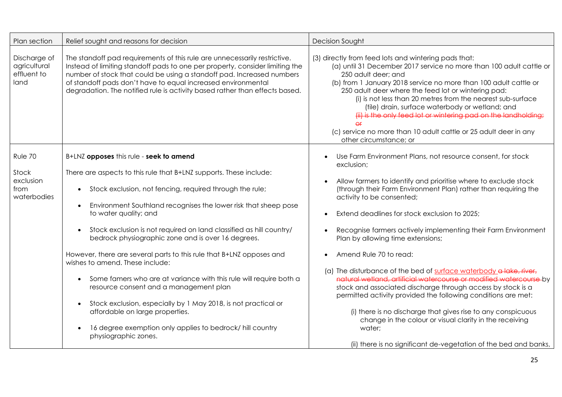| Plan section                                        | Relief sought and reasons for decision                                                                                                                                                                                                                                                                                                                                                                                                                                                                                                                                                                                                                                                                                                                                                                                           | Decision Sought                                                                                                                                                                                                                                                                                                                                                                                                                                                                                                                                                                                                                                                                                                                                                                                                                                      |
|-----------------------------------------------------|----------------------------------------------------------------------------------------------------------------------------------------------------------------------------------------------------------------------------------------------------------------------------------------------------------------------------------------------------------------------------------------------------------------------------------------------------------------------------------------------------------------------------------------------------------------------------------------------------------------------------------------------------------------------------------------------------------------------------------------------------------------------------------------------------------------------------------|------------------------------------------------------------------------------------------------------------------------------------------------------------------------------------------------------------------------------------------------------------------------------------------------------------------------------------------------------------------------------------------------------------------------------------------------------------------------------------------------------------------------------------------------------------------------------------------------------------------------------------------------------------------------------------------------------------------------------------------------------------------------------------------------------------------------------------------------------|
| Discharge of<br>agricultural<br>effluent to<br>land | The standoff pad requirements of this rule are unnecessarily restrictive.<br>Instead of limiting standoff pads to one per property, consider limiting the<br>number of stock that could be using a standoff pad. Increased numbers<br>of standoff pads don't have to equal increased environmental<br>degradation. The notified rule is activity based rather than effects based.                                                                                                                                                                                                                                                                                                                                                                                                                                                | (3) directly from feed lots and wintering pads that:<br>(a) until 31 December 2017 service no more than 100 adult cattle or<br>250 adult deer; and<br>(b) from 1 January 2018 service no more than 100 adult cattle or<br>250 adult deer where the feed lot or wintering pad:<br>(i) is not less than 20 metres from the nearest sub-surface<br>(tile) drain, surface waterbody or wetland; and<br>(iii) is the only feed lot or wintering pad on the landholding;<br>(c) service no more than 10 adult cattle or 25 adult deer in any<br>other circumstance; or                                                                                                                                                                                                                                                                                     |
| Rule 70                                             | B+LNZ opposes this rule - seek to amend                                                                                                                                                                                                                                                                                                                                                                                                                                                                                                                                                                                                                                                                                                                                                                                          | Use Farm Environment Plans, not resource consent, for stock                                                                                                                                                                                                                                                                                                                                                                                                                                                                                                                                                                                                                                                                                                                                                                                          |
| Stock<br>exclusion<br>from<br>waterbodies           | There are aspects to this rule that B+LNZ supports. These include:<br>Stock exclusion, not fencing, required through the rule;<br>$\bullet$<br>Environment Southland recognises the lower risk that sheep pose<br>to water quality; and<br>Stock exclusion is not required on land classified as hill country/<br>$\bullet$<br>bedrock physiographic zone and is over 16 degrees.<br>However, there are several parts to this rule that B+LNZ opposes and<br>wishes to amend. These include:<br>Some famers who are at variance with this rule will require both a<br>$\bullet$<br>resource consent and a management plan<br>Stock exclusion, especially by 1 May 2018, is not practical or<br>affordable on large properties.<br>16 degree exemption only applies to bedrock/ hill country<br>$\bullet$<br>physiographic zones. | exclusion;<br>Allow farmers to identify and prioritise where to exclude stock<br>(through their Farm Environment Plan) rather than requiring the<br>activity to be consented;<br>Extend deadlines for stock exclusion to 2025;<br>Recognise farmers actively implementing their Farm Environment<br>Plan by allowing time extensions;<br>Amend Rule 70 to read:<br>(a) The disturbance of the bed of surface waterbody a lake, river,<br>natural wetland, artificial watercourse or modified watercourse by<br>stock and associated discharge through access by stock is a<br>permitted activity provided the following conditions are met:<br>(i) there is no discharge that gives rise to any conspicuous<br>change in the colour or visual clarity in the receiving<br>water;<br>(ii) there is no significant de-vegetation of the bed and banks, |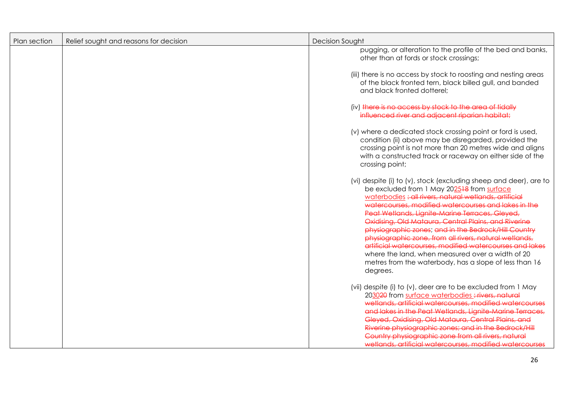| Plan section | Relief sought and reasons for decision | <b>Decision Sought</b>                                                                                                                                                                                                                                                                                                                                                                                                                                                                                                                                                                                                                              |
|--------------|----------------------------------------|-----------------------------------------------------------------------------------------------------------------------------------------------------------------------------------------------------------------------------------------------------------------------------------------------------------------------------------------------------------------------------------------------------------------------------------------------------------------------------------------------------------------------------------------------------------------------------------------------------------------------------------------------------|
|              |                                        | pugging, or alteration to the profile of the bed and banks,<br>other than at fords or stock crossings;                                                                                                                                                                                                                                                                                                                                                                                                                                                                                                                                              |
|              |                                        | (iii) there is no access by stock to roosting and nesting areas<br>of the black fronted tern, black billed gull, and banded<br>and black fronted dotterel;                                                                                                                                                                                                                                                                                                                                                                                                                                                                                          |
|              |                                        | (iv) there is no access by stock to the area of tidally<br>influenced river and adiacent riparian habitat:                                                                                                                                                                                                                                                                                                                                                                                                                                                                                                                                          |
|              |                                        | (v) where a dedicated stock crossing point or ford is used,<br>condition (ii) above may be disregarded, provided the<br>crossing point is not more than 20 metres wide and aligns<br>with a constructed track or raceway on either side of the<br>crossing point;                                                                                                                                                                                                                                                                                                                                                                                   |
|              |                                        | (vi) despite (i) to (v), stock (excluding sheep and deer), are to<br>be excluded from 1 May 202518 from surface<br>waterbodies: all rivers, natural wetlands, artificial<br>watercourses, modified watercourses and lakes in the<br>Peat Wetlands, Lianite-Marine Terraces, Gleved,<br>Oxidising, Old Mataura, Central Plains, and Riverine<br>physiographic zones; and in the Bedrock/Hill Country<br>physiographic zone, from all rivers, natural wetlands,<br>artificial watercourses, modified watercourses and lakes<br>where the land, when measured over a width of 20<br>metres from the waterbody, has a slope of less than 16<br>degrees. |
|              |                                        | (vii) despite (i) to (v), deer are to be excluded from 1 May<br>203020 from surface waterbodies: #ivers, natural<br>wetlands, artificial watercourses, modified watercourses                                                                                                                                                                                                                                                                                                                                                                                                                                                                        |
|              |                                        | and lakes in the Peat Wetlands, Lignite-Marine Terraces,<br>Gleyed, Oxidising, Old Mataura, Central Plains, and<br>Riverine physiographic zones; and in the Bedrock/Hill                                                                                                                                                                                                                                                                                                                                                                                                                                                                            |
|              |                                        | Country physiographic zone from all rivers. natural<br>wetlands, artificial watercourses, modified watercourses                                                                                                                                                                                                                                                                                                                                                                                                                                                                                                                                     |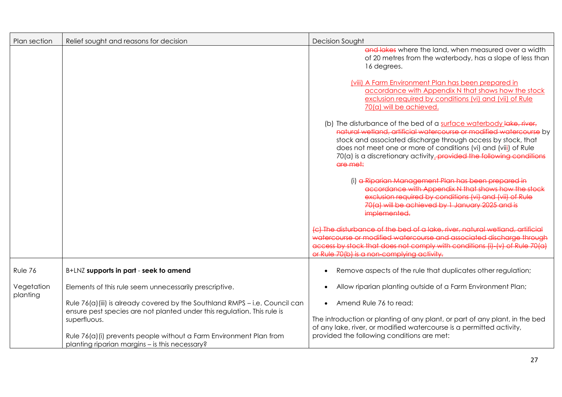| Plan section           | Relief sought and reasons for decision                                                                                                                                  | <b>Decision Sought</b>                                                                                                                                                                                                                                                                                                                                         |
|------------------------|-------------------------------------------------------------------------------------------------------------------------------------------------------------------------|----------------------------------------------------------------------------------------------------------------------------------------------------------------------------------------------------------------------------------------------------------------------------------------------------------------------------------------------------------------|
|                        |                                                                                                                                                                         | and lakes where the land, when measured over a width<br>of 20 metres from the waterbody, has a slope of less than<br>16 degrees.                                                                                                                                                                                                                               |
|                        |                                                                                                                                                                         | (viii) A Farm Environment Plan has been prepared in<br>accordance with Appendix N that shows how the stock<br>exclusion required by conditions (vi) and (vii) of Rule<br>70(a) will be achieved.                                                                                                                                                               |
|                        |                                                                                                                                                                         | (b) The disturbance of the bed of a surface waterbody lake, river,<br>natural wetland, artificial watercourse or modified watercourse by<br>stock and associated discharge through access by stock, that<br>does not meet one or more of conditions (vi) and (viii) of Rule<br>70(a) is a discretionary activity_provided the following conditions<br>are met: |
|                        |                                                                                                                                                                         | (i) a Riparian Management Plan has been prepared in<br>accordance with Appendix N that shows how the stock<br>exclusion required by conditions (vi) and (vii) of Rule<br>70(a) will be achieved by 1 January 2025 and is<br>implemented.                                                                                                                       |
|                        |                                                                                                                                                                         | (c) The disturbance of the bed of a lake, river, natural wetland, artificial<br>watercourse or modified watercourse and associated discharge through<br>access by stock that does not comply with conditions (i)-(y) of Rule 70(a)<br>or Rule 70(b) is a non-complying activity.                                                                               |
| Rule 76                | B+LNZ supports in part - seek to amend                                                                                                                                  | Remove aspects of the rule that duplicates other regulation;<br>$\bullet$                                                                                                                                                                                                                                                                                      |
| Vegetation<br>planting | Elements of this rule seem unnecessarily prescriptive.                                                                                                                  | Allow riparian planting outside of a Farm Environment Plan;<br>$\bullet$                                                                                                                                                                                                                                                                                       |
|                        | Rule 76(a) (iii) is already covered by the Southland RMPS - i.e. Council can<br>ensure pest species are not planted under this regulation. This rule is<br>superfluous. | Amend Rule 76 to read:<br>$\bullet$<br>The introduction or planting of any plant, or part of any plant, in the bed<br>of any lake, river, or modified watercourse is a permitted activity,                                                                                                                                                                     |
|                        | Rule 76(a)(i) prevents people without a Farm Environment Plan from<br>planting riparian margins - is this necessary?                                                    | provided the following conditions are met:                                                                                                                                                                                                                                                                                                                     |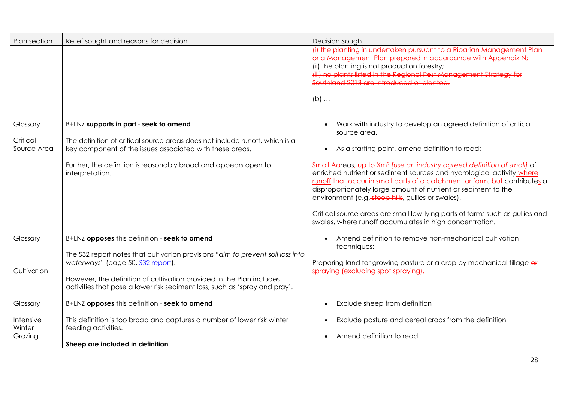| Plan section                        | Relief sought and reasons for decision                                                                                                                                                                                                                                     | <b>Decision Sought</b>                                                                                                                                                                                                                                                                                                                                                                                                                                                                                                                                                                                                                                         |
|-------------------------------------|----------------------------------------------------------------------------------------------------------------------------------------------------------------------------------------------------------------------------------------------------------------------------|----------------------------------------------------------------------------------------------------------------------------------------------------------------------------------------------------------------------------------------------------------------------------------------------------------------------------------------------------------------------------------------------------------------------------------------------------------------------------------------------------------------------------------------------------------------------------------------------------------------------------------------------------------------|
|                                     |                                                                                                                                                                                                                                                                            | (i) the planting in undertaken pursuant to a Riparian Management Plan<br>or a Management Plan prepared in accordance with Appendix N;<br>(ii) the planting is not production forestry;<br>(iii) no plants listed in the Regional Pest Management Strategy for<br>Southland 2013 are introduced or planted.<br>$(b)$                                                                                                                                                                                                                                                                                                                                            |
| Glossary<br>Critical<br>Source Area | B+LNZ supports in part - seek to amend<br>The definition of critical source areas does not include runoff, which is a<br>key component of the issues associated with these areas.<br>Further, the definition is reasonably broad and appears open to<br>interpretation.    | Work with industry to develop an agreed definition of critical<br>source area.<br>As a starting point, amend definition to read:<br>$\bullet$<br>Small Agreas, up to Xm <sup>2</sup> [use an industry agreed definition of small] of<br>enriched nutrient or sediment sources and hydrological activity where<br>runoff-that occur in small parts of a catchment or farm, but contributes a<br>disproportionately large amount of nutrient or sediment to the<br>environment (e.g. steep hills, gullies or swales).<br>Critical source areas are small low-lying parts of farms such as gullies and<br>swales, where runoff accumulates in high concentration. |
| Glossary                            | B+LNZ opposes this definition - seek to amend                                                                                                                                                                                                                              | Amend definition to remove non-mechanical cultivation<br>techniques:                                                                                                                                                                                                                                                                                                                                                                                                                                                                                                                                                                                           |
| Cultivation                         | The S32 report notes that cultivation provisions "aim to prevent soil loss into<br>waterways" (page 50, S32 report).<br>However, the definition of cultivation provided in the Plan includes<br>activities that pose a lower risk sediment loss, such as 'spray and pray'. | Preparing land for growing pasture or a crop by mechanical tillage of<br>spraying (excluding spot spraying).                                                                                                                                                                                                                                                                                                                                                                                                                                                                                                                                                   |
| Glossary                            | B+LNZ opposes this definition - seek to amend                                                                                                                                                                                                                              | Exclude sheep from definition<br>$\bullet$                                                                                                                                                                                                                                                                                                                                                                                                                                                                                                                                                                                                                     |
| Intensive<br>Winter<br>Grazing      | This definition is too broad and captures a number of lower risk winter<br>feeding activities.<br>Sheep are included in definition                                                                                                                                         | Exclude pasture and cereal crops from the definition<br>Amend definition to read:                                                                                                                                                                                                                                                                                                                                                                                                                                                                                                                                                                              |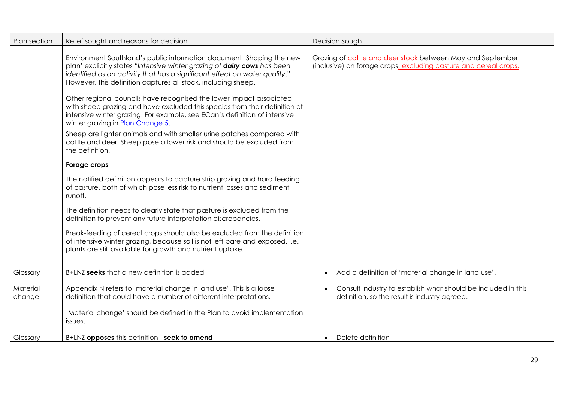| Plan section       | Relief sought and reasons for decision                                                                                                                                                                                                                                                                                                                                                                                                                                                                                                                                                                                                                                                                                                                                                                                                                                                                                                                                                                                                                                                                                                                                                                                                                                                                 | Decision Sought                                                                                                                |
|--------------------|--------------------------------------------------------------------------------------------------------------------------------------------------------------------------------------------------------------------------------------------------------------------------------------------------------------------------------------------------------------------------------------------------------------------------------------------------------------------------------------------------------------------------------------------------------------------------------------------------------------------------------------------------------------------------------------------------------------------------------------------------------------------------------------------------------------------------------------------------------------------------------------------------------------------------------------------------------------------------------------------------------------------------------------------------------------------------------------------------------------------------------------------------------------------------------------------------------------------------------------------------------------------------------------------------------|--------------------------------------------------------------------------------------------------------------------------------|
|                    | Environment Southland's public information document 'Shaping the new<br>plan' explicitly states "Intensive winter grazing of dairy cows has been<br>identified as an activity that has a significant effect on water quality."<br>However, this definition captures all stock, including sheep.<br>Other regional councils have recognised the lower impact associated<br>with sheep grazing and have excluded this species from their definition of<br>intensive winter grazing. For example, see ECan's definition of intensive<br>winter grazing in Plan Change 5.<br>Sheep are lighter animals and with smaller urine patches compared with<br>cattle and deer. Sheep pose a lower risk and should be excluded from<br>the definition.<br>Forage crops<br>The notified definition appears to capture strip grazing and hard feeding<br>of pasture, both of which pose less risk to nutrient losses and sediment<br>runoff.<br>The definition needs to clearly state that pasture is excluded from the<br>definition to prevent any future interpretation discrepancies.<br>Break-feeding of cereal crops should also be excluded from the definition<br>of intensive winter grazing, because soil is not left bare and exposed. I.e.<br>plants are still available for growth and nutrient uptake. | Grazing of cattle and deer stock between May and September<br>(inclusive) on forage crops, excluding pasture and cereal crops. |
|                    |                                                                                                                                                                                                                                                                                                                                                                                                                                                                                                                                                                                                                                                                                                                                                                                                                                                                                                                                                                                                                                                                                                                                                                                                                                                                                                        |                                                                                                                                |
| Glossary           | B+LNZ seeks that a new definition is added                                                                                                                                                                                                                                                                                                                                                                                                                                                                                                                                                                                                                                                                                                                                                                                                                                                                                                                                                                                                                                                                                                                                                                                                                                                             | Add a definition of 'material change in land use'.<br>$\bullet$                                                                |
| Material<br>change | Appendix N refers to 'material change in land use'. This is a loose<br>definition that could have a number of different interpretations.                                                                                                                                                                                                                                                                                                                                                                                                                                                                                                                                                                                                                                                                                                                                                                                                                                                                                                                                                                                                                                                                                                                                                               | Consult industry to establish what should be included in this<br>definition, so the result is industry agreed.                 |
|                    | 'Material change' should be defined in the Plan to avoid implementation<br>issues.                                                                                                                                                                                                                                                                                                                                                                                                                                                                                                                                                                                                                                                                                                                                                                                                                                                                                                                                                                                                                                                                                                                                                                                                                     |                                                                                                                                |
| Glossary           | B+LNZ opposes this definition - seek to amend                                                                                                                                                                                                                                                                                                                                                                                                                                                                                                                                                                                                                                                                                                                                                                                                                                                                                                                                                                                                                                                                                                                                                                                                                                                          | Delete definition<br>$\bullet$                                                                                                 |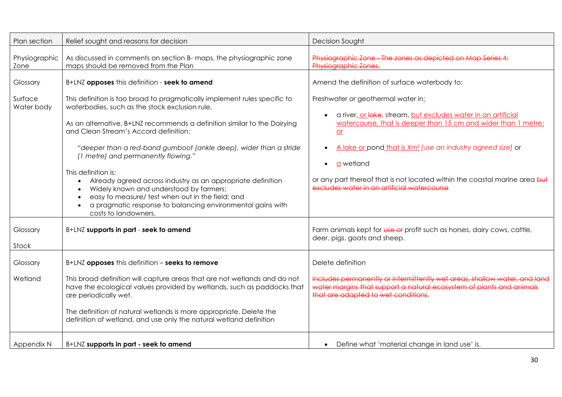| Plan section          | Relief sought and reasons for decision                                                                                                                                                                                                                                                                                                                                                                                                                                                                                                                                                                                                  | Decision Sought                                                                                                                                                                                                                                                                                                                                                                                                        |
|-----------------------|-----------------------------------------------------------------------------------------------------------------------------------------------------------------------------------------------------------------------------------------------------------------------------------------------------------------------------------------------------------------------------------------------------------------------------------------------------------------------------------------------------------------------------------------------------------------------------------------------------------------------------------------|------------------------------------------------------------------------------------------------------------------------------------------------------------------------------------------------------------------------------------------------------------------------------------------------------------------------------------------------------------------------------------------------------------------------|
| Physiographic<br>Zone | As discussed in comments on section B- maps, the physiographic zone<br>maps should be removed from the Plan                                                                                                                                                                                                                                                                                                                                                                                                                                                                                                                             | Physiographic Zone - The zones as depicted on Map Series 4:<br>Physiographic Zones.                                                                                                                                                                                                                                                                                                                                    |
| Glossary              | B+LNZ opposes this definition - seek to amend                                                                                                                                                                                                                                                                                                                                                                                                                                                                                                                                                                                           | Amend the definition of surface waterbody to:                                                                                                                                                                                                                                                                                                                                                                          |
| Surface<br>Water body | This definition is too broad to pragmatically implement rules specific to<br>waterbodies, such as the stock exclusion rule.<br>As an alternative, B+LNZ recommends a definition similar to the Dairying<br>and Clean Stream's Accord definition:<br>"deeper than a red-band gumboot (ankle deep), wider than a stride<br>(1 metre) and permanently flowing."<br>This definition is:<br>Already agreed across industry as an appropriate definition<br>Widely known and understood by farmers;<br>easy to measure/ test when out in the field; and<br>a pragmatic response to balancing environmental gains with<br>costs to landowners. | Freshwater or geothermal water in:<br>a river, or lake, stream, but excludes water in an artificial<br>watercourse, that is deeper than 15 cm and wider than 1 metre;<br>$or$<br>A lake or pond that is Xm <sup>2</sup> [use an industry agreed size] or<br><b>a</b> wetland<br>$\bullet$<br>or any part thereof that is not located within the coastal marine area but<br>excludes water in an artificial watercourse |
| Glossary<br>Stock     | B+LNZ supports in part - seek to amend                                                                                                                                                                                                                                                                                                                                                                                                                                                                                                                                                                                                  | Farm animals kept for use or profit such as horses, dairy cows, cattle,<br>deer, pigs, goats and sheep.                                                                                                                                                                                                                                                                                                                |
| Glossary              | B+LNZ opposes this definition - seeks to remove                                                                                                                                                                                                                                                                                                                                                                                                                                                                                                                                                                                         | Delete definition                                                                                                                                                                                                                                                                                                                                                                                                      |
| Wetland               | This broad definition will capture areas that are not wetlands and do not<br>have the ecological values provided by wetlands, such as paddocks that<br>are periodically wet.<br>The definition of natural wetlands is more appropriate. Delete the<br>definition of wetland, and use only the natural wetland definition                                                                                                                                                                                                                                                                                                                | Includes permanently or intermittently wet areas, shallow water, and land<br>water margins that support a natural ecosystem of plants and animals<br>that are adapted to wet conditions.                                                                                                                                                                                                                               |
| Appendix N            | B+LNZ supports in part - seek to amend                                                                                                                                                                                                                                                                                                                                                                                                                                                                                                                                                                                                  | Define what 'material change in land use' is.                                                                                                                                                                                                                                                                                                                                                                          |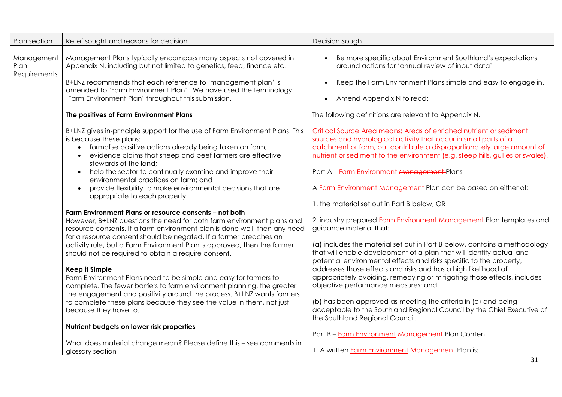| Plan section                       | Relief sought and reasons for decision                                                                                                                                                                                                                                                                                                                                                                                                                                                                                                                                                                                                                                                                                                                                                                                                                                                                                                                                                                                                                                                                                                                                                                                                                                                                                                                                                                   | Decision Sought                                                                                                                                                                                                                                                                                                                                                                                                                                                                                                                                                                                                                                                                                                                                                                                                                                                                                                                                                                                                                                                                                                                                                                                                                                                                   |
|------------------------------------|----------------------------------------------------------------------------------------------------------------------------------------------------------------------------------------------------------------------------------------------------------------------------------------------------------------------------------------------------------------------------------------------------------------------------------------------------------------------------------------------------------------------------------------------------------------------------------------------------------------------------------------------------------------------------------------------------------------------------------------------------------------------------------------------------------------------------------------------------------------------------------------------------------------------------------------------------------------------------------------------------------------------------------------------------------------------------------------------------------------------------------------------------------------------------------------------------------------------------------------------------------------------------------------------------------------------------------------------------------------------------------------------------------|-----------------------------------------------------------------------------------------------------------------------------------------------------------------------------------------------------------------------------------------------------------------------------------------------------------------------------------------------------------------------------------------------------------------------------------------------------------------------------------------------------------------------------------------------------------------------------------------------------------------------------------------------------------------------------------------------------------------------------------------------------------------------------------------------------------------------------------------------------------------------------------------------------------------------------------------------------------------------------------------------------------------------------------------------------------------------------------------------------------------------------------------------------------------------------------------------------------------------------------------------------------------------------------|
| Management<br>Plan<br>Requirements | Management Plans typically encompass many aspects not covered in<br>Appendix N, including but not limited to genetics, feed, finance etc.                                                                                                                                                                                                                                                                                                                                                                                                                                                                                                                                                                                                                                                                                                                                                                                                                                                                                                                                                                                                                                                                                                                                                                                                                                                                | Be more specific about Environment Southland's expectations<br>around actions for 'annual review of input data'                                                                                                                                                                                                                                                                                                                                                                                                                                                                                                                                                                                                                                                                                                                                                                                                                                                                                                                                                                                                                                                                                                                                                                   |
|                                    | B+LNZ recommends that each reference to 'management plan' is<br>amended to 'Farm Environment Plan'. We have used the terminology<br>'Farm Environment Plan' throughout this submission.                                                                                                                                                                                                                                                                                                                                                                                                                                                                                                                                                                                                                                                                                                                                                                                                                                                                                                                                                                                                                                                                                                                                                                                                                  | Keep the Farm Environment Plans simple and easy to engage in.<br>Amend Appendix N to read:                                                                                                                                                                                                                                                                                                                                                                                                                                                                                                                                                                                                                                                                                                                                                                                                                                                                                                                                                                                                                                                                                                                                                                                        |
|                                    | The positives of Farm Environment Plans                                                                                                                                                                                                                                                                                                                                                                                                                                                                                                                                                                                                                                                                                                                                                                                                                                                                                                                                                                                                                                                                                                                                                                                                                                                                                                                                                                  | The following definitions are relevant to Appendix N.                                                                                                                                                                                                                                                                                                                                                                                                                                                                                                                                                                                                                                                                                                                                                                                                                                                                                                                                                                                                                                                                                                                                                                                                                             |
|                                    | B+LNZ gives in-principle support for the use of Farm Environment Plans. This<br>is because these plans:<br>formalise positive actions already being taken on farm;<br>evidence claims that sheep and beef farmers are effective<br>stewards of the land;<br>help the sector to continually examine and improve their<br>$\bullet$<br>environmental practices on farm; and<br>provide flexibility to make environmental decisions that are<br>$\bullet$<br>appropriate to each property.<br>Farm Environment Plans or resource consents - not both<br>However, B+LNZ questions the need for both farm environment plans and<br>resource consents. If a farm environment plan is done well, then any need<br>for a resource consent should be negated. If a farmer breaches an<br>activity rule, but a Farm Environment Plan is approved, then the farmer<br>should not be required to obtain a require consent.<br><b>Keep it Simple</b><br>Farm Environment Plans need to be simple and easy for farmers to<br>complete. The fewer barriers to farm environment planning, the greater<br>the engagement and positivity around the process. B+LNZ wants farmers<br>to complete these plans because they see the value in them, not just<br>because they have to.<br>Nutrient budgets on lower risk properties<br>What does material change mean? Please define this - see comments in<br>glossary section | Critical Source Area means: Areas of enriched nutrient or sediment<br>sources and hydrological activity that occur in small parts of a<br>catchment or farm, but contribute a disproportionately large amount of<br>nutrient or sediment to the environment (e.g. steep hills, guilies or swales).<br>Part A - Farm Environment Management-Plans<br>A Farm Environment-Management-Plan can be based on either of:<br>1. the material set out in Part B below; OR<br>2. industry prepared Farm Environment-Management Plan templates and<br>guidance material that:<br>(a) includes the material set out in Part B below, contains a methodology<br>that will enable development of a plan that will identify actual and<br>potential environmental effects and risks specific to the property,<br>addresses those effects and risks and has a high likelihood of<br>appropriately avoiding, remedying or mitigating those effects, includes<br>objective performance measures; and<br>(b) has been approved as meeting the criteria in (a) and being<br>acceptable to the Southland Regional Council by the Chief Executive of<br>the Southland Regional Council.<br>Part B - Farm Environment Management-Plan Content<br>1. A written Farm Environment Management Plan is:<br>31 |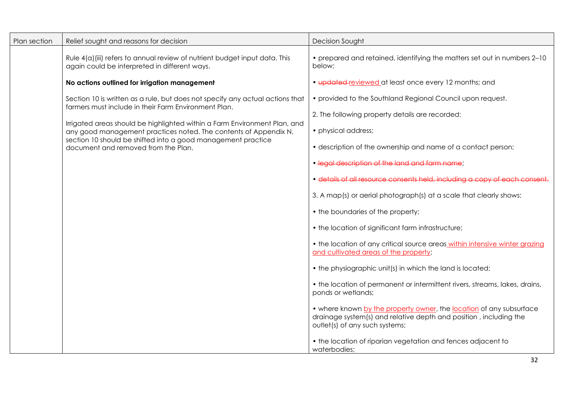| Plan section | Relief sought and reasons for decision                                                                                                        | Decision Sought                                                                                                                                                            |
|--------------|-----------------------------------------------------------------------------------------------------------------------------------------------|----------------------------------------------------------------------------------------------------------------------------------------------------------------------------|
|              | Rule 4(a)(iii) refers to annual review of nutrient budget input data. This<br>again could be interpreted in different ways.                   | • prepared and retained, identifying the matters set out in numbers 2-10<br>below;                                                                                         |
|              | No actions outlined for irrigation management                                                                                                 | • updated-reviewed at least once every 12 months; and                                                                                                                      |
|              | Section 10 is written as a rule, but does not specify any actual actions that                                                                 | • provided to the Southland Regional Council upon request.                                                                                                                 |
|              | farmers must include in their Farm Environment Plan.                                                                                          | 2. The following property details are recorded:                                                                                                                            |
|              | Irrigated areas should be highlighted within a Farm Environment Plan, and<br>any good management practices noted. The contents of Appendix N, | • physical address;                                                                                                                                                        |
|              | section 10 should be shifted into a good management practice<br>document and removed from the Plan.                                           | • description of the ownership and name of a contact person;                                                                                                               |
|              |                                                                                                                                               | • lead description of the land and farm name:                                                                                                                              |
|              |                                                                                                                                               | · details of all resource consents held, including a copy of each consent.                                                                                                 |
|              |                                                                                                                                               | 3. A map(s) or aerial photograph(s) at a scale that clearly shows:                                                                                                         |
|              |                                                                                                                                               | • the boundaries of the property;                                                                                                                                          |
|              |                                                                                                                                               | • the location of significant farm infrastructure;                                                                                                                         |
|              |                                                                                                                                               | . the location of any critical source areas within intensive winter grazing<br>and cultivated areas of the property;                                                       |
|              |                                                                                                                                               | • the physiographic unit(s) in which the land is located;                                                                                                                  |
|              |                                                                                                                                               | • the location of permanent or intermittent rivers, streams, lakes, drains,<br>ponds or wetlands;                                                                          |
|              |                                                                                                                                               | • where known by the property owner, the location of any subsurface<br>drainage system(s) and relative depth and position, including the<br>outlet(s) of any such systems; |
|              |                                                                                                                                               | • the location of riparian vegetation and fences adjacent to<br>waterbodies;                                                                                               |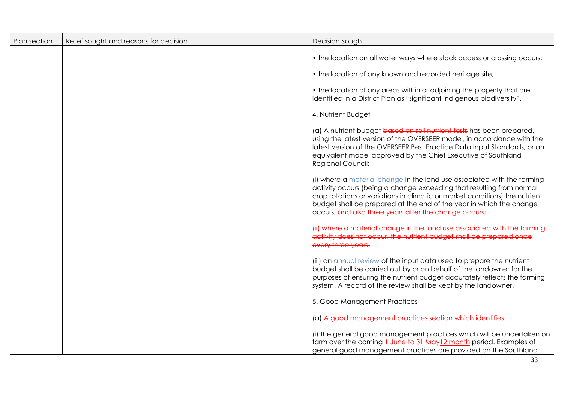| Plan section | Relief sought and reasons for decision | Decision Sought                                                                                                                                                                                                                                                                                                                                                |
|--------------|----------------------------------------|----------------------------------------------------------------------------------------------------------------------------------------------------------------------------------------------------------------------------------------------------------------------------------------------------------------------------------------------------------------|
|              |                                        | • the location on all water ways where stock access or crossing occurs;                                                                                                                                                                                                                                                                                        |
|              |                                        | • the location of any known and recorded heritage site;                                                                                                                                                                                                                                                                                                        |
|              |                                        | • the location of any areas within or adjoining the property that are<br>identified in a District Plan as "significant indigenous biodiversity".                                                                                                                                                                                                               |
|              |                                        | 4. Nutrient Budget                                                                                                                                                                                                                                                                                                                                             |
|              |                                        | (a) A nutrient budget based on soil nutrient tests has been prepared,<br>using the latest version of the OVERSEER model, in accordance with the<br>latest version of the OVERSEER Best Practice Data Input Standards, or an<br>equivalent model approved by the Chief Executive of Southland<br>Regional Council:                                              |
|              |                                        | (i) where a material change in the land use associated with the farming<br>activity occurs (being a change exceeding that resulting from normal<br>crop rotations or variations in climatic or market conditions) the nutrient<br>budget shall be prepared at the end of the year in which the change<br>occurs, and also three years after the change occurs; |
|              |                                        | (ii) where a material change in the land use associated with the farmina<br>activity does not occur, the nutrient budget shall be prepared once<br>every three years;                                                                                                                                                                                          |
|              |                                        | (iii) an annual review of the input data used to prepare the nutrient<br>budget shall be carried out by or on behalf of the landowner for the<br>purposes of ensuring the nutrient budget accurately reflects the farming<br>system. A record of the review shall be kept by the landowner.                                                                    |
|              |                                        | 5. Good Management Practices                                                                                                                                                                                                                                                                                                                                   |
|              |                                        | (a) A good management practices section which identifies:                                                                                                                                                                                                                                                                                                      |
|              |                                        | (i) the general good management practices which will be undertaken on<br>farm over the coming 1 June to 31 May 12 month period. Examples of<br>general good management practices are provided on the Southland                                                                                                                                                 |
|              |                                        | 33                                                                                                                                                                                                                                                                                                                                                             |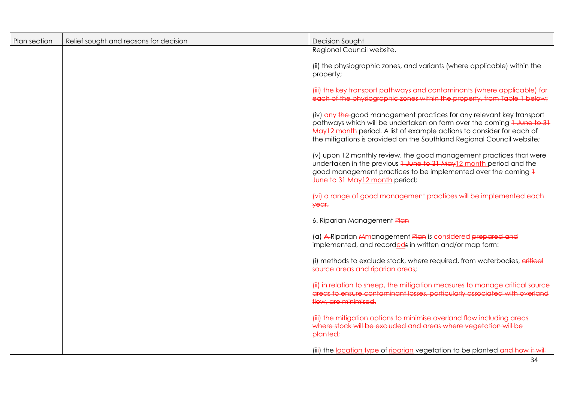| Plan section | Relief sought and reasons for decision | Decision Sought                                                                                                                                                                                                                                                                                     |
|--------------|----------------------------------------|-----------------------------------------------------------------------------------------------------------------------------------------------------------------------------------------------------------------------------------------------------------------------------------------------------|
|              |                                        | Regional Council website.                                                                                                                                                                                                                                                                           |
|              |                                        | (ii) the physiographic zones, and variants (where applicable) within the<br>property;                                                                                                                                                                                                               |
|              |                                        | (iii) the key transport pathways and contaminants (where applicable) for<br>each of the physiographic zones within the property, from Table 1 below:                                                                                                                                                |
|              |                                        | (iv) any the good management practices for any relevant key transport<br>pathways which will be undertaken on farm over the coming 1 June to 31<br>May 12 month period. A list of example actions to consider for each of<br>the mitigations is provided on the Southland Regional Council website; |
|              |                                        | (v) upon 12 monthly review, the good management practices that were<br>undertaken in the previous 1 June to 31 May 12 month period and the<br>good management practices to be implemented over the coming +<br>June to 31 May 12 month period;                                                      |
|              |                                        | (vi) a range of good management practices will be implemented each<br>year.                                                                                                                                                                                                                         |
|              |                                        | 6. Riparian Management Plan                                                                                                                                                                                                                                                                         |
|              |                                        | (a) A Riparian Mmanagement Plan is considered prepared and<br>implemented, and recordeds in written and/or map form:                                                                                                                                                                                |
|              |                                        | (i) methods to exclude stock, where required, from waterbodies, critical<br>source areas and riparian areas;                                                                                                                                                                                        |
|              |                                        | (iii) in relation to sheep, the mitigation measures to mangae critical source<br>areas to ensure contaminant losses, particularly associated with overland<br>flow, are minimised.                                                                                                                  |
|              |                                        | (iii) the mitigation options to minimise overland flow including areas<br>where stock will be excluded and greas where vegetation will be<br>planted;                                                                                                                                               |
|              |                                        | (iii) the location type of riparian vegetation to be planted and how it will                                                                                                                                                                                                                        |
|              |                                        | 34                                                                                                                                                                                                                                                                                                  |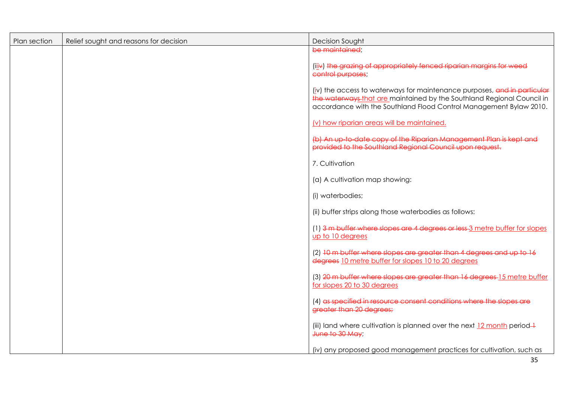| Plan section | Relief sought and reasons for decision | <b>Decision Sought</b>                                                                                                                                                                                                   |
|--------------|----------------------------------------|--------------------------------------------------------------------------------------------------------------------------------------------------------------------------------------------------------------------------|
|              |                                        | be maintained:                                                                                                                                                                                                           |
|              |                                        | (iiiv) the grazing of appropriately fenced riparian margins for weed<br>control purposes;                                                                                                                                |
|              |                                        | (iv) the access to waterways for maintenance purposes, and in particular<br>the waterways that are maintained by the Southland Regional Council in<br>accordance with the Southland Flood Control Management Bylaw 2010. |
|              |                                        | (v) how riparian areas will be maintained.                                                                                                                                                                               |
|              |                                        | (b) An up-to-date copy of the Riparian Management Plan is kept and<br>provided to the Southland Regional Council upon reauest.                                                                                           |
|              |                                        | 7. Cultivation                                                                                                                                                                                                           |
|              |                                        | (a) A cultivation map showing:                                                                                                                                                                                           |
|              |                                        | (i) waterbodies;                                                                                                                                                                                                         |
|              |                                        | (ii) buffer strips along those waterbodies as follows:                                                                                                                                                                   |
|              |                                        | (1) 3 m buffer where slopes are 4 degrees or less 3 metre buffer for slopes<br>up to 10 degrees                                                                                                                          |
|              |                                        | (2) 10 m buffer where slopes are greater than 4 degrees and up to 16<br>degrees 10 metre buffer for slopes 10 to 20 degrees                                                                                              |
|              |                                        | (3) 20 m buffer where slopes are greater than 16 degrees 15 metre buffer<br>for slopes 20 to 30 degrees                                                                                                                  |
|              |                                        | (4) as specified in resource consent conditions where the slopes are<br>greater than 20 degrees;                                                                                                                         |
|              |                                        | (iii) land where cultivation is planned over the next $12$ month period $\rightarrow$<br>June to 30 May;                                                                                                                 |
|              |                                        | (iv) any proposed good management practices for cultivation, such as                                                                                                                                                     |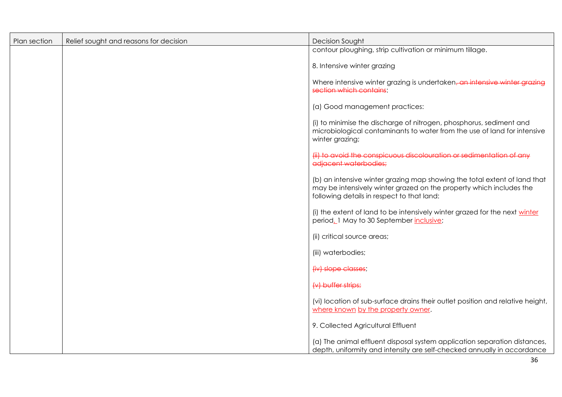| Plan section | Relief sought and reasons for decision | <b>Decision Sought</b>                                                                                                                                                                         |
|--------------|----------------------------------------|------------------------------------------------------------------------------------------------------------------------------------------------------------------------------------------------|
|              |                                        | contour ploughing, strip cultivation or minimum tillage.                                                                                                                                       |
|              |                                        | 8. Intensive winter grazing                                                                                                                                                                    |
|              |                                        | Where intensive winter grazing is undertaken, an intensive winter grazing<br>soction which contains:                                                                                           |
|              |                                        | (a) Good management practices:                                                                                                                                                                 |
|              |                                        | (i) to minimise the discharge of nitrogen, phosphorus, sediment and<br>microbiological contaminants to water from the use of land for intensive<br>winter grazing;                             |
|              |                                        | (ii) to avoid the conspicuous discolouration or sedimentation of any<br>adjacent waterbodies;                                                                                                  |
|              |                                        | (b) an intensive winter grazing map showing the total extent of land that<br>may be intensively winter grazed on the property which includes the<br>following details in respect to that land: |
|              |                                        | (i) the extent of land to be intensively winter grazed for the next winter<br>period_1 May to 30 September inclusive;                                                                          |
|              |                                        | (ii) critical source areas;                                                                                                                                                                    |
|              |                                        | (iii) waterbodies;                                                                                                                                                                             |
|              |                                        | (iv) slope classes;                                                                                                                                                                            |
|              |                                        | $\forall$ buffer strips;                                                                                                                                                                       |
|              |                                        | (vi) location of sub-surface drains their outlet position and relative height,<br>where known by the property owner.                                                                           |
|              |                                        | 9. Collected Agricultural Effluent                                                                                                                                                             |
|              |                                        | (a) The animal effluent disposal system application separation distances,<br>depth, uniformity and intensity are self-checked annually in accordance                                           |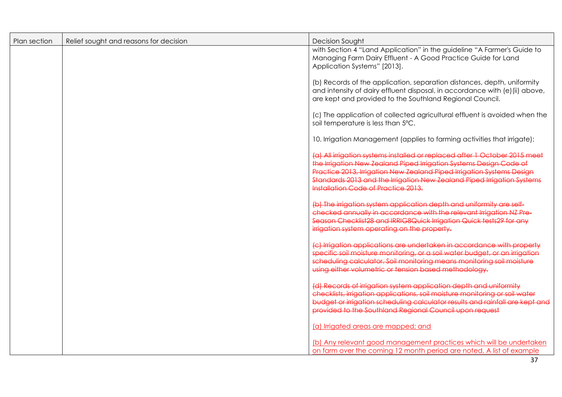| Plan section | Relief sought and reasons for decision | <b>Decision Sought</b>                                                                                                                                                                                                                                                                                                                            |
|--------------|----------------------------------------|---------------------------------------------------------------------------------------------------------------------------------------------------------------------------------------------------------------------------------------------------------------------------------------------------------------------------------------------------|
|              |                                        | with Section 4 "Land Application" in the guideline "A Farmer's Guide to<br>Managing Farm Dairy Effluent - A Good Practice Guide for Land<br>Application Systems" [2013].                                                                                                                                                                          |
|              |                                        | (b) Records of the application, separation distances, depth, uniformity<br>and intensity of dairy effluent disposal, in accordance with (e) (ii) above,<br>are kept and provided to the Southland Regional Council.                                                                                                                               |
|              |                                        | (c) The application of collected agricultural effluent is avoided when the<br>soil temperature is less than 5°C.                                                                                                                                                                                                                                  |
|              |                                        | 10. Irrigation Management (applies to farming activities that irrigate):                                                                                                                                                                                                                                                                          |
|              |                                        | (a) All irrigation systems installed or replaced after 1 October 2015 meet<br>the Irrigation New Zealand Piped Irrigation Systems Design Code of<br><b>Practice 2013, Irrigation New Zealand Piped Irrigation Systems Design</b><br>Standards 2013 and the Irrigation New Zealand Piped Irrigation Systems<br>Installation Code of Practice 2013. |
|              |                                        | (b) The irrigation system application depth and uniformity are self-<br>checked annually in accordance with the relevant Irrigation NZ Pre-<br>Season Checklist28 and IRRIG8Quick Irrigation Quick tests29 for any<br>irrigation system operating on the property.                                                                                |
|              |                                        | (c) Irrigation applications are undertaken in accordance with property<br>specific soil moisture monitoring, or a soil water budget, or an irrigation<br>scheduling calculator. Soil monitoring means monitoring soil moisture<br>using either volumetric or tension based methodology.                                                           |
|              |                                        | (d) Records of irrigation system application depth and uniformity<br>checklists, irrigation applications, soil moisture monitoring or soil water<br>budget or irrigation scheduling calculator results and rainfall are kept and<br>provided to the Southland Regional Council upon request                                                       |
|              |                                        | (a) Irrigated areas are mapped; and                                                                                                                                                                                                                                                                                                               |
|              |                                        | (b) Any relevant good management practices which will be undertaken<br>on farm over the coming 12 month period are noted. A list of example                                                                                                                                                                                                       |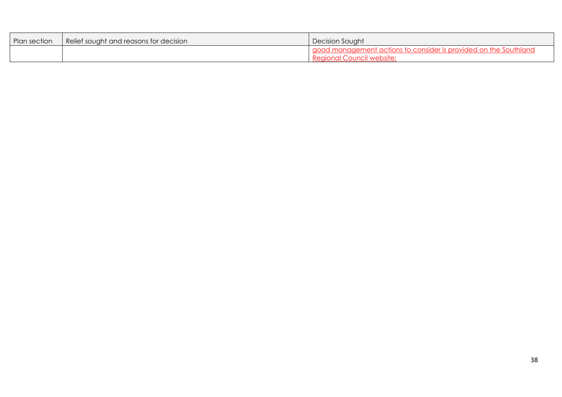| Plan section | Relief sought and reasons for decision | Decision Sought                                                                                              |
|--------------|----------------------------------------|--------------------------------------------------------------------------------------------------------------|
|              |                                        | good management<br>$n \in \mathbb{R}$<br>CODCIDAT<br>$\lq$ nne to $\ell$ :<br>$\sqrt{ }$<br>:ouncil website: |